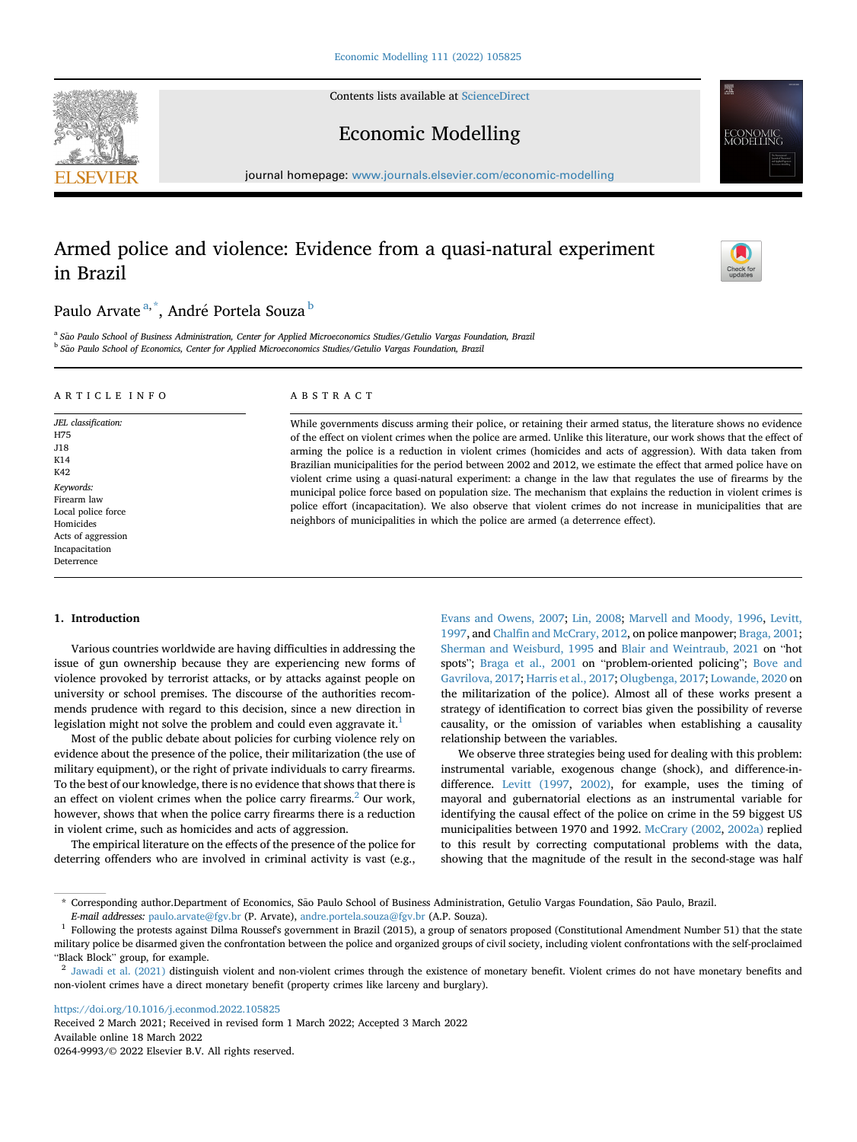Contents lists available at [ScienceDirect](www.sciencedirect.com/science/journal/02649993)





Economic Modelling

journal homepage: [www.journals.elsevier.com/economic-modelling](http://www.journals.elsevier.com/economic-modelling)

# Armed police and violence: Evidence from a quasi-natural experiment in Brazil



## Paulo Arvate <sup>[a,](#page-0-0) [\\*](#page-0-1)</sup>, André Portela Souza <sup>[b](#page-0-2)</sup>

<span id="page-0-2"></span><span id="page-0-0"></span><sup>a</sup> São Paulo School of Business Administration, Center for Applied Microeconomics Studies/Getulio Vargas Foundation, Brazil <sup>b</sup> São Paulo School of Economics, Center for Applied Microeconomics Studies/Getulio Vargas Foundation, Brazil

## ARTICLE INFO

JEL classification: H75 J18 K14 K42 Keywords: Firearm law Local police force Homicides Acts of aggression Incapacitation Deterrence

## ABSTRACT

While governments discuss arming their police, or retaining their armed status, the literature shows no evidence of the effect on violent crimes when the police are armed. Unlike this literature, our work shows that the effect of arming the police is a reduction in violent crimes (homicides and acts of aggression). With data taken from Brazilian municipalities for the period between 2002 and 2012, we estimate the effect that armed police have on violent crime using a quasi-natural experiment: a change in the law that regulates the use of firearms by the municipal police force based on population size. The mechanism that explains the reduction in violent crimes is police effort (incapacitation). We also observe that violent crimes do not increase in municipalities that are neighbors of municipalities in which the police are armed (a deterrence effect).

## 1. Introduction

Various countries worldwide are having difficulties in addressing the issue of gun ownership because they are experiencing new forms of violence provoked by terrorist attacks, or by attacks against people on university or school premises. The discourse of the authorities recommends prudence with regard to this decision, since a new direction in legislation might not solve the problem and could even aggravate it.<sup>1</sup>

Most of the public debate about policies for curbing violence rely on evidence about the presence of the police, their militarization (the use of military equipment), or the right of private individuals to carry firearms. To the best of our knowledge, there is no evidence that shows that there is an effect on violent crimes when the police carry firearms. $^{2}$  Our work, however, shows that when the police carry firearms there is a reduction in violent crime, such as homicides and acts of aggression.

The empirical literature on the effects of the presence of the police for deterring offenders who are involved in criminal activity is vast (e.g.,

[Evans and Owens, 2007;](#page-12-0) [Lin, 2008](#page-12-1); [Marvell and Moody, 1996](#page-12-2), [Levitt,](#page-12-3) [1997,](#page-12-3) and Chalfi[n and McCrary, 2012](#page-12-4), on police manpower; [Braga, 2001;](#page-12-5) [Sherman and Weisburd, 1995](#page-12-6) and [Blair and Weintraub, 2021](#page-12-7) on "hot spots"; [Braga et al., 2001](#page-12-8) on "problem-oriented policing"; [Bove and](#page-12-9) [Gavrilova, 2017](#page-12-9); [Harris et al., 2017](#page-12-10); [Olugbenga, 2017](#page-12-11); [Lowande, 2020](#page-12-12) on the militarization of the police). Almost all of these works present a strategy of identification to correct bias given the possibility of reverse causality, or the omission of variables when establishing a causality relationship between the variables.

We observe three strategies being used for dealing with this problem: instrumental variable, exogenous change (shock), and difference-indifference. [Levitt \(1997,](#page-12-3) [2002\),](#page-12-13) for example, uses the timing of mayoral and gubernatorial elections as an instrumental variable for identifying the causal effect of the police on crime in the 59 biggest US municipalities between 1970 and 1992. [McCrary \(2002](#page-12-14), [2002a\)](#page-12-15) replied to this result by correcting computational problems with the data, showing that the magnitude of the result in the second-stage was half

<https://doi.org/10.1016/j.econmod.2022.105825>

Received 2 March 2021; Received in revised form 1 March 2022; Accepted 3 March 2022 Available online 18 March 2022 0264-9993/© 2022 Elsevier B.V. All rights reserved.

<span id="page-0-1"></span><sup>\*</sup> Corresponding author.Department of Economics, São Paulo School of Business Administration, Getulio Vargas Foundation, São Paulo, Brazil. E-mail addresses: [paulo.arvate@fgv.br](mailto:paulo.arvate@fgv.br) (P. Arvate), [andre.portela.souza@fgv.br](mailto:andre.portela.souza@fgv.br) (A.P. Souza).

<span id="page-0-3"></span> $1$  Following the protests against Dilma Roussef's government in Brazil (2015), a group of senators proposed (Constitutional Amendment Number 51) that the state military police be disarmed given the confrontation between the police and organized groups of civil society, including violent confrontations with the self-proclaimed "Black Block" group, for example.

<span id="page-0-4"></span><sup>&</sup>lt;sup>2</sup> [Jawadi et al. \(2021\)](#page-12-16) distinguish violent and non-violent crimes through the existence of monetary benefit. Violent crimes do not have monetary benefits and non-violent crimes have a direct monetary benefit (property crimes like larceny and burglary).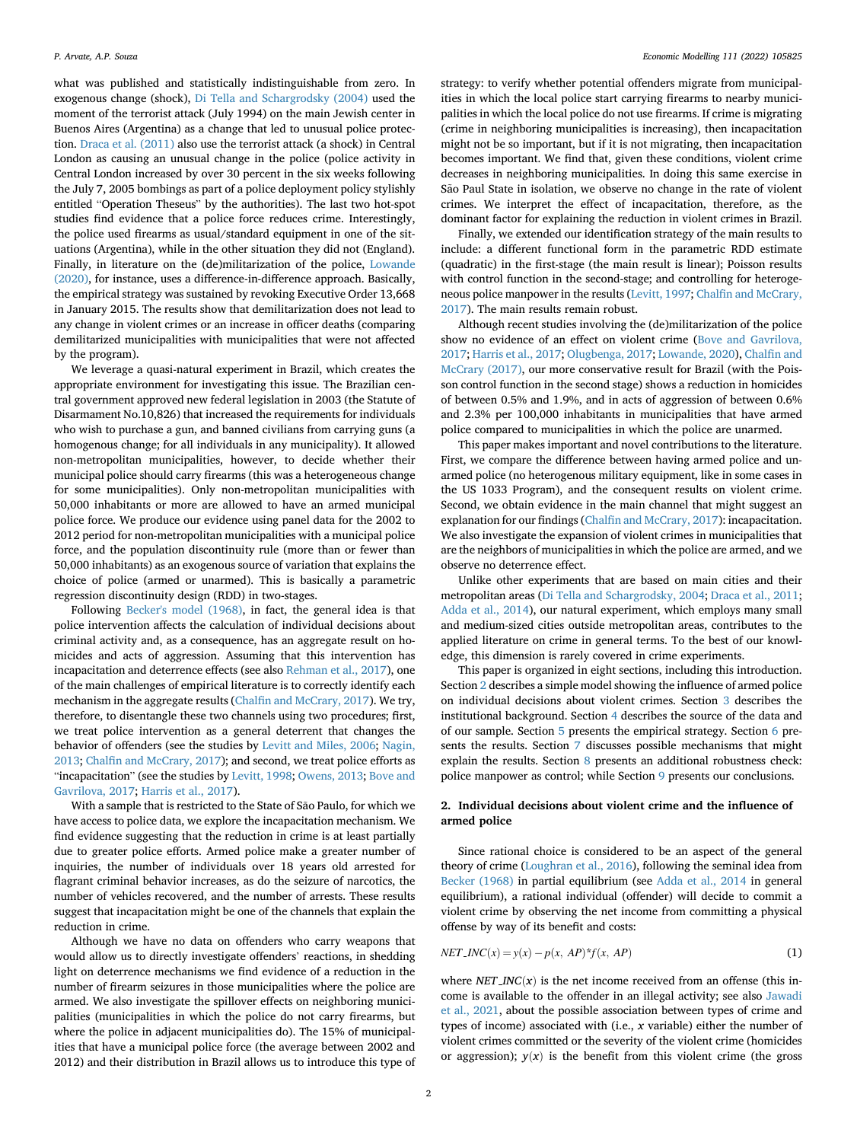what was published and statistically indistinguishable from zero. In exogenous change (shock), [Di Tella and Schargrodsky \(2004\)](#page-12-17) used the moment of the terrorist attack (July 1994) on the main Jewish center in Buenos Aires (Argentina) as a change that led to unusual police protection. [Draca et al. \(2011\)](#page-12-18) also use the terrorist attack (a shock) in Central London as causing an unusual change in the police (police activity in Central London increased by over 30 percent in the six weeks following the July 7, 2005 bombings as part of a police deployment policy stylishly entitled "Operation Theseus" by the authorities). The last two hot-spot studies find evidence that a police force reduces crime. Interestingly, the police used firearms as usual/standard equipment in one of the situations (Argentina), while in the other situation they did not (England). Finally, in literature on the (de)militarization of the police, [Lowande](#page-12-12) [\(2020\)](#page-12-12), for instance, uses a difference-in-difference approach. Basically, the empirical strategy was sustained by revoking Executive Order 13,668 in January 2015. The results show that demilitarization does not lead to any change in violent crimes or an increase in officer deaths (comparing demilitarized municipalities with municipalities that were not affected by the program).

We leverage a quasi-natural experiment in Brazil, which creates the appropriate environment for investigating this issue. The Brazilian central government approved new federal legislation in 2003 (the Statute of Disarmament No.10,826) that increased the requirements for individuals who wish to purchase a gun, and banned civilians from carrying guns (a homogenous change; for all individuals in any municipality). It allowed non-metropolitan municipalities, however, to decide whether their municipal police should carry firearms (this was a heterogeneous change for some municipalities). Only non-metropolitan municipalities with 50,000 inhabitants or more are allowed to have an armed municipal police force. We produce our evidence using panel data for the 2002 to 2012 period for non-metropolitan municipalities with a municipal police force, and the population discontinuity rule (more than or fewer than 50,000 inhabitants) as an exogenous source of variation that explains the choice of police (armed or unarmed). This is basically a parametric regression discontinuity design (RDD) in two-stages.

Following [Becker's model \(1968\),](#page-12-19) in fact, the general idea is that police intervention affects the calculation of individual decisions about criminal activity and, as a consequence, has an aggregate result on homicides and acts of aggression. Assuming that this intervention has incapacitation and deterrence effects (see also [Rehman et al., 2017\)](#page-12-20), one of the main challenges of empirical literature is to correctly identify each mechanism in the aggregate results (Chalfi[n and McCrary, 2017\)](#page-12-21). We try, therefore, to disentangle these two channels using two procedures; first, we treat police intervention as a general deterrent that changes the behavior of offenders (see the studies by [Levitt and Miles, 2006](#page-12-22); [Nagin,](#page-12-23) [2013;](#page-12-23) Chalfi[n and McCrary, 2017\)](#page-12-21); and second, we treat police efforts as "incapacitation" (see the studies by [Levitt, 1998](#page-12-24); [Owens, 2013;](#page-12-25) [Bove and](#page-12-9) [Gavrilova, 2017;](#page-12-9) [Harris et al., 2017](#page-12-10)).

With a sample that is restricted to the State of São Paulo, for which we have access to police data, we explore the incapacitation mechanism. We find evidence suggesting that the reduction in crime is at least partially due to greater police efforts. Armed police make a greater number of inquiries, the number of individuals over 18 years old arrested for flagrant criminal behavior increases, as do the seizure of narcotics, the number of vehicles recovered, and the number of arrests. These results suggest that incapacitation might be one of the channels that explain the reduction in crime.

Although we have no data on offenders who carry weapons that would allow us to directly investigate offenders' reactions, in shedding light on deterrence mechanisms we find evidence of a reduction in the number of firearm seizures in those municipalities where the police are armed. We also investigate the spillover effects on neighboring municipalities (municipalities in which the police do not carry firearms, but where the police in adjacent municipalities do). The 15% of municipalities that have a municipal police force (the average between 2002 and 2012) and their distribution in Brazil allows us to introduce this type of

strategy: to verify whether potential offenders migrate from municipalities in which the local police start carrying firearms to nearby municipalities in which the local police do not use firearms. If crime is migrating (crime in neighboring municipalities is increasing), then incapacitation might not be so important, but if it is not migrating, then incapacitation becomes important. We find that, given these conditions, violent crime decreases in neighboring municipalities. In doing this same exercise in São Paul State in isolation, we observe no change in the rate of violent crimes. We interpret the effect of incapacitation, therefore, as the dominant factor for explaining the reduction in violent crimes in Brazil.

Finally, we extended our identification strategy of the main results to include: a different functional form in the parametric RDD estimate (quadratic) in the first-stage (the main result is linear); Poisson results with control function in the second-stage; and controlling for heterogeneous police manpower in the results ([Levitt, 1997](#page-12-3); Chalfi[n and McCrary,](#page-12-21) [2017\)](#page-12-21). The main results remain robust.

Although recent studies involving the (de)militarization of the police show no evidence of an effect on violent crime ([Bove and Gavrilova,](#page-12-9) [2017;](#page-12-9) [Harris et al., 2017](#page-12-10); [Olugbenga, 2017;](#page-12-11) [Lowande, 2020\)](#page-12-12), Chalfi[n and](#page-12-21) [McCrary \(2017\),](#page-12-21) our more conservative result for Brazil (with the Poisson control function in the second stage) shows a reduction in homicides of between 0.5% and 1.9%, and in acts of aggression of between 0.6% and 2.3% per 100,000 inhabitants in municipalities that have armed police compared to municipalities in which the police are unarmed.

This paper makes important and novel contributions to the literature. First, we compare the difference between having armed police and unarmed police (no heterogenous military equipment, like in some cases in the US 1033 Program), and the consequent results on violent crime. Second, we obtain evidence in the main channel that might suggest an explanation for our findings (Chalfi[n and McCrary, 2017](#page-12-21)): incapacitation. We also investigate the expansion of violent crimes in municipalities that are the neighbors of municipalities in which the police are armed, and we observe no deterrence effect.

Unlike other experiments that are based on main cities and their metropolitan areas ([Di Tella and Schargrodsky, 2004;](#page-12-17) [Draca et al., 2011;](#page-12-18) [Adda et al., 2014\)](#page-12-26), our natural experiment, which employs many small and medium-sized cities outside metropolitan areas, contributes to the applied literature on crime in general terms. To the best of our knowledge, this dimension is rarely covered in crime experiments.

This paper is organized in eight sections, including this introduction. Section [2](#page-1-0) describes a simple model showing the influence of armed police on individual decisions about violent crimes. Section [3](#page-2-0) describes the institutional background. Section 4 describes the source of the data and of our sample. Section [5](#page-5-0) presents the empirical strategy. Section [6](#page-7-0) presents the results. Section [7](#page-7-1) discusses possible mechanisms that might explain the results. Section [8](#page-10-0) presents an additional robustness check: police manpower as control; while Section [9](#page-11-0) presents our conclusions.

## <span id="page-1-0"></span>2. Individual decisions about violent crime and the influence of armed police

Since rational choice is considered to be an aspect of the general theory of crime [\(Loughran et al., 2016\)](#page-12-27), following the seminal idea from [Becker \(1968\)](#page-12-19) in partial equilibrium (see [Adda et al., 2014](#page-12-26) in general equilibrium), a rational individual (offender) will decide to commit a violent crime by observing the net income from committing a physical offense by way of its benefit and costs:

$$
NET\_INC(x) = y(x) - p(x, AP)^* f(x, AP)
$$
\n(1)

where  $NET\_INC(x)$  is the net income received from an offense (this income is available to the offender in an illegal activity; see also [Jawadi](#page-12-16) [et al., 2021](#page-12-16), about the possible association between types of crime and types of income) associated with (i.e., x variable) either the number of violent crimes committed or the severity of the violent crime (homicides or aggression);  $y(x)$  is the benefit from this violent crime (the gross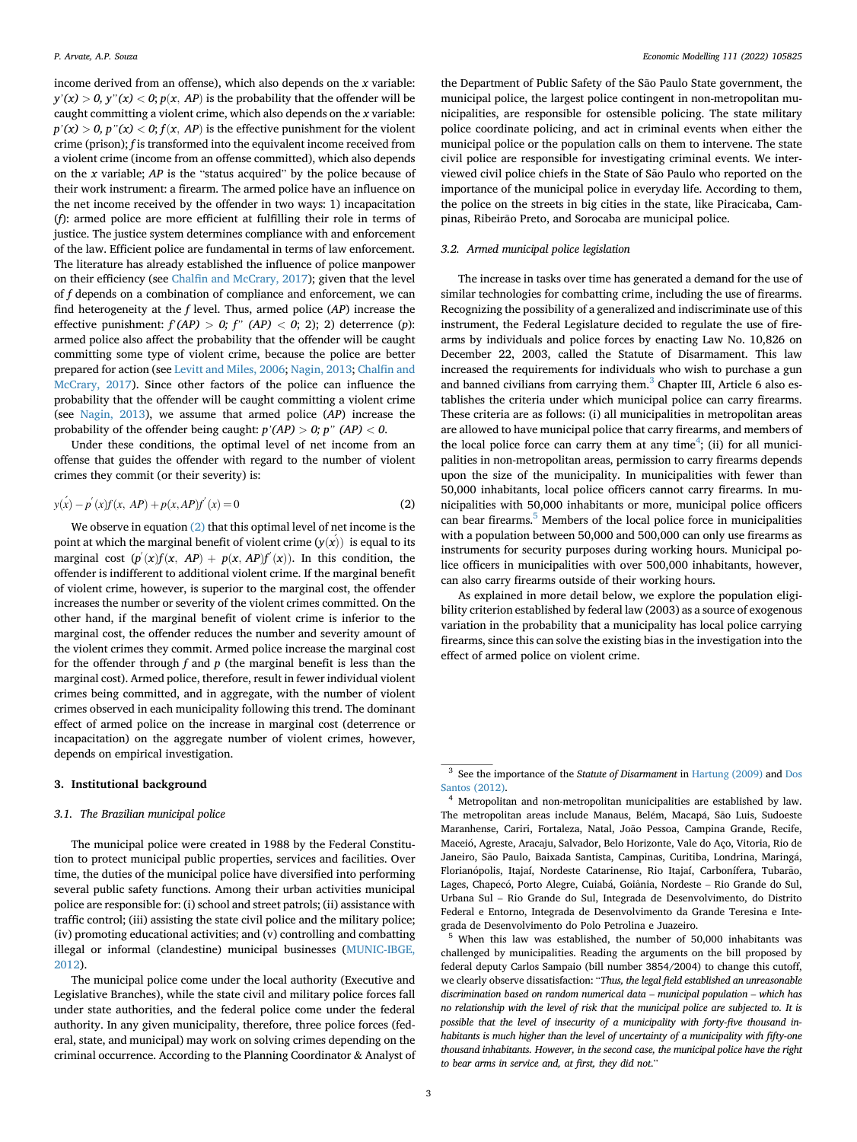income derived from an offense), which also depends on the  $x$  variable:  $y'(x) > 0$ ,  $y''(x) < 0$ ;  $p(x, AP)$  is the probability that the offender will be  $g(x) > 0$ ,  $g(x) < 0$ ,  $p(x) < 0$ ,  $p(x)$  is the probability that the oficiality with be caught committing a violent crime, which also depends on the x variable: crime (prison); f is transformed into the equivalent income received from a violent crime (income from an offense committed), which also depends on the  $x$  variable;  $AP$  is the "status acquired" by the police because of their work instrument: a firearm. The armed police have an influence on the net income received by the offender in two ways: 1) incapacitation (f): armed police are more efficient at fulfilling their role in terms of justice. The justice system determines compliance with and enforcement of the law. Efficient police are fundamental in terms of law enforcement. The literature has already established the influence of police manpower on their efficiency (see Chalfi[n and McCrary, 2017](#page-12-21)); given that the level of f depends on a combination of compliance and enforcement, we can find heterogeneity at the f level. Thus, armed police (*AP*) increase the effective punishment:  $f'$ (*AP*) > 0; f'' (*AP*) < 0; 2); 2) deterrence (*p*): armed police also affect the probability that the offender will be caught committing some type of violent crime, because the police are better prepared for action (see [Levitt and Miles, 2006](#page-12-22); [Nagin, 2013;](#page-12-23) Chalfi[n and](#page-12-21) [McCrary, 2017\)](#page-12-21). Since other factors of the police can influence the probability that the offender will be caught committing a violent crime (see [Nagin, 2013\)](#page-12-23), we assume that armed police (AP) increase the probability of the offender being caught:  $p'(AP) > 0$ ;  $p''(AP) < 0$ .

Under these conditions, the optimal level of net income from an offense that guides the offender with regard to the number of violent crimes they commit (or their severity) is:

<span id="page-2-1"></span>
$$
y(x) - p'(x)f(x, AP) + p(x, AP)f'(x) = 0
$$
\n(2)

We observe in equation [\(2\)](#page-2-1) that this optimal level of net income is the point at which the marginal benefit of violent crime  $(y(x))$  is equal to its marginal cost  $(p'(x)f(x, AP) + p(x, AP)f'(x))$ . In this condition, the offender is indifferent to additional violent crime. If the marginal benefit of violent crime, however, is superior to the marginal cost, the offender increases the number or severity of the violent crimes committed. On the other hand, if the marginal benefit of violent crime is inferior to the marginal cost, the offender reduces the number and severity amount of the violent crimes they commit. Armed police increase the marginal cost for the offender through  $f$  and  $p$  (the marginal benefit is less than the marginal cost). Armed police, therefore, result in fewer individual violent crimes being committed, and in aggregate, with the number of violent crimes observed in each municipality following this trend. The dominant effect of armed police on the increase in marginal cost (deterrence or incapacitation) on the aggregate number of violent crimes, however, depends on empirical investigation.

## <span id="page-2-0"></span>3. Institutional background

#### 3.1. The Brazilian municipal police

The municipal police were created in 1988 by the Federal Constitution to protect municipal public properties, services and facilities. Over time, the duties of the municipal police have diversified into performing several public safety functions. Among their urban activities municipal police are responsible for: (i) school and street patrols; (ii) assistance with traffic control; (iii) assisting the state civil police and the military police; (iv) promoting educational activities; and (v) controlling and combatting illegal or informal (clandestine) municipal businesses ([MUNIC-IBGE,](#page-12-28) [2012\)](#page-12-28).

The municipal police come under the local authority (Executive and Legislative Branches), while the state civil and military police forces fall under state authorities, and the federal police come under the federal authority. In any given municipality, therefore, three police forces (federal, state, and municipal) may work on solving crimes depending on the criminal occurrence. According to the Planning Coordinator & Analyst of

the Department of Public Safety of the São Paulo State government, the municipal police, the largest police contingent in non-metropolitan municipalities, are responsible for ostensible policing. The state military police coordinate policing, and act in criminal events when either the municipal police or the population calls on them to intervene. The state civil police are responsible for investigating criminal events. We interviewed civil police chiefs in the State of São Paulo who reported on the importance of the municipal police in everyday life. According to them, the police on the streets in big cities in the state, like Piracicaba, Campinas, Ribeirão Preto, and Sorocaba are municipal police.

## 3.2. Armed municipal police legislation

The increase in tasks over time has generated a demand for the use of similar technologies for combatting crime, including the use of firearms. Recognizing the possibility of a generalized and indiscriminate use of this instrument, the Federal Legislature decided to regulate the use of firearms by individuals and police forces by enacting Law No. 10,826 on December 22, 2003, called the Statute of Disarmament. This law increased the requirements for individuals who wish to purchase a gun and banned civilians from carrying them. $3$  Chapter III, Article 6 also establishes the criteria under which municipal police can carry firearms. These criteria are as follows: (i) all municipalities in metropolitan areas are allowed to have municipal police that carry firearms, and members of the local police force can carry them at any time<sup>[4](#page-2-3)</sup>; (ii) for all municipalities in non-metropolitan areas, permission to carry firearms depends upon the size of the municipality. In municipalities with fewer than 50,000 inhabitants, local police officers cannot carry firearms. In municipalities with 50,000 inhabitants or more, municipal police officers can bear firearms.<sup>[5](#page-2-4)</sup> Members of the local police force in municipalities with a population between 50,000 and 500,000 can only use firearms as instruments for security purposes during working hours. Municipal police officers in municipalities with over 500,000 inhabitants, however, can also carry firearms outside of their working hours.

As explained in more detail below, we explore the population eligibility criterion established by federal law (2003) as a source of exogenous variation in the probability that a municipality has local police carrying firearms, since this can solve the existing bias in the investigation into the effect of armed police on violent crime.

<span id="page-2-2"></span><sup>&</sup>lt;sup>3</sup> See the importance of the Statute of Disarmament in [Hartung \(2009\)](#page-12-29) and [Dos](#page-12-30) [Santos \(2012\).](#page-12-30)

<span id="page-2-3"></span><sup>4</sup> Metropolitan and non-metropolitan municipalities are established by law. The metropolitan areas include Manaus, Belém, Macapá, São Luis, Sudoeste Maranhense, Cariri, Fortaleza, Natal, João Pessoa, Campina Grande, Recife, Maceio, Agreste, Aracaju, Salvador, Belo Horizonte, Vale do Aço, Vitoria, Rio de Janeiro, São Paulo, Baixada Santista, Campinas, Curitiba, Londrina, Maringá, Florianópolis, Itajaí, Nordeste Catarinense, Rio Itajaí, Carbonífera, Tubarão, Lages, Chapecó, Porto Alegre, Cuiabá, Goiânia, Nordeste – Rio Grande do Sul, Urbana Sul – Rio Grande do Sul, Integrada de Desenvolvimento, do Distrito Federal e Entorno, Integrada de Desenvolvimento da Grande Teresina e Integrada de Desenvolvimento do Polo Petrolina e Juazeiro.

<span id="page-2-4"></span><sup>5</sup> When this law was established, the number of 50,000 inhabitants was challenged by municipalities. Reading the arguments on the bill proposed by federal deputy Carlos Sampaio (bill number 3854/2004) to change this cutoff, we clearly observe dissatisfaction: "Thus, the legal field established an unreasonable discrimination based on random numerical data – municipal population – which has no relationship with the level of risk that the municipal police are subjected to. It is possible that the level of insecurity of a municipality with forty-five thousand inhabitants is much higher than the level of uncertainty of a municipality with fifty-one thousand inhabitants. However, in the second case, the municipal police have the right to bear arms in service and, at first, they did not."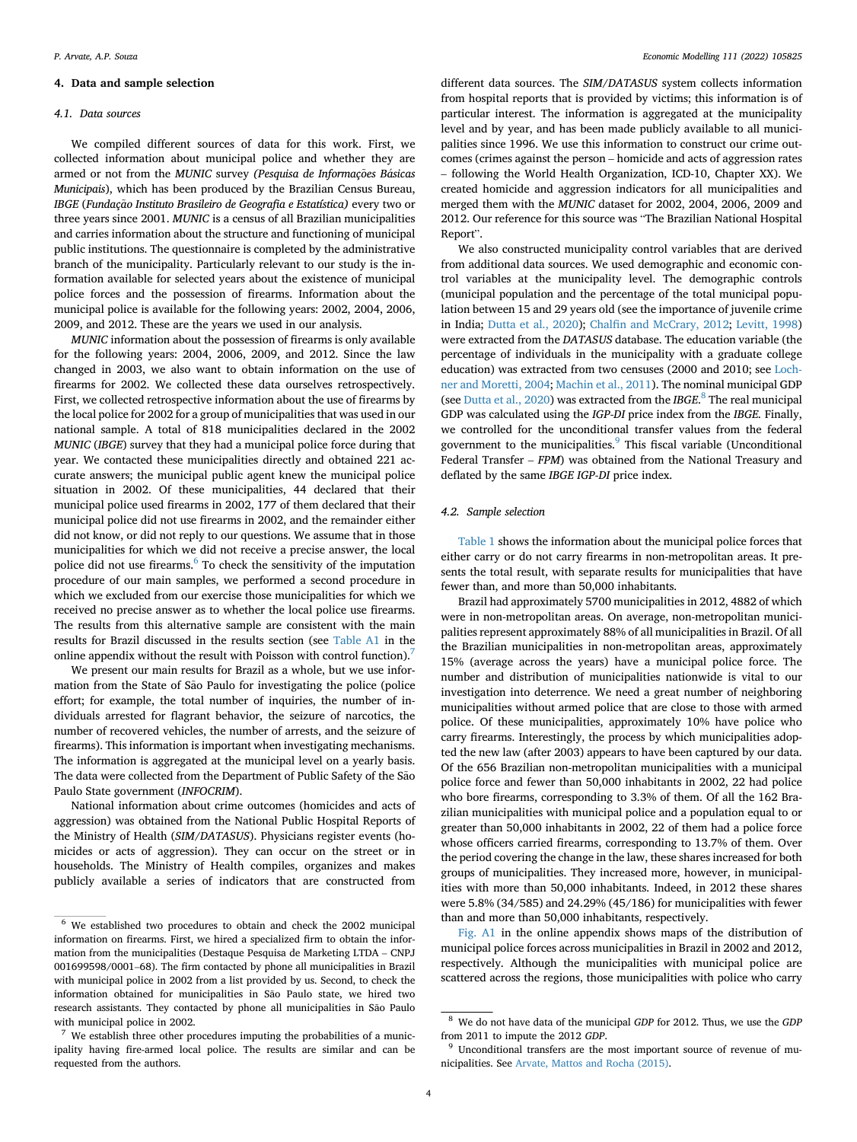## 4. Data and sample selection

#### 4.1. Data sources

We compiled different sources of data for this work. First, we collected information about municipal police and whether they are armed or not from the MUNIC survey (Pesquisa de Informações Básicas Municipais), which has been produced by the Brazilian Census Bureau, IBGE (Fundação Instituto Brasileiro de Geografia e Estatística) every two or three years since 2001. MUNIC is a census of all Brazilian municipalities and carries information about the structure and functioning of municipal public institutions. The questionnaire is completed by the administrative branch of the municipality. Particularly relevant to our study is the information available for selected years about the existence of municipal police forces and the possession of firearms. Information about the municipal police is available for the following years: 2002, 2004, 2006, 2009, and 2012. These are the years we used in our analysis.

MUNIC information about the possession of firearms is only available for the following years: 2004, 2006, 2009, and 2012. Since the law changed in 2003, we also want to obtain information on the use of firearms for 2002. We collected these data ourselves retrospectively. First, we collected retrospective information about the use of firearms by the local police for 2002 for a group of municipalities that was used in our national sample. A total of 818 municipalities declared in the 2002 MUNIC (IBGE) survey that they had a municipal police force during that year. We contacted these municipalities directly and obtained 221 accurate answers; the municipal public agent knew the municipal police situation in 2002. Of these municipalities, 44 declared that their municipal police used firearms in 2002, 177 of them declared that their municipal police did not use firearms in 2002, and the remainder either did not know, or did not reply to our questions. We assume that in those municipalities for which we did not receive a precise answer, the local police did not use firearms.<sup>[6](#page-3-0)</sup> To check the sensitivity of the imputation procedure of our main samples, we performed a second procedure in which we excluded from our exercise those municipalities for which we received no precise answer as to whether the local police use firearms. The results from this alternative sample are consistent with the main results for Brazil discussed in the results section (see Table A1 in the online appendix without the result with Poisson with control function).

We present our main results for Brazil as a whole, but we use information from the State of São Paulo for investigating the police (police effort; for example, the total number of inquiries, the number of individuals arrested for flagrant behavior, the seizure of narcotics, the number of recovered vehicles, the number of arrests, and the seizure of firearms). This information is important when investigating mechanisms. The information is aggregated at the municipal level on a yearly basis. The data were collected from the Department of Public Safety of the São Paulo State government (INFOCRIM).

National information about crime outcomes (homicides and acts of aggression) was obtained from the National Public Hospital Reports of the Ministry of Health (SIM/DATASUS). Physicians register events (homicides or acts of aggression). They can occur on the street or in households. The Ministry of Health compiles, organizes and makes publicly available a series of indicators that are constructed from

different data sources. The SIM/DATASUS system collects information from hospital reports that is provided by victims; this information is of particular interest. The information is aggregated at the municipality level and by year, and has been made publicly available to all municipalities since 1996. We use this information to construct our crime outcomes (crimes against the person – homicide and acts of aggression rates – following the World Health Organization, ICD-10, Chapter XX). We created homicide and aggression indicators for all municipalities and merged them with the MUNIC dataset for 2002, 2004, 2006, 2009 and 2012. Our reference for this source was "The Brazilian National Hospital Report".

We also constructed municipality control variables that are derived from additional data sources. We used demographic and economic control variables at the municipality level. The demographic controls (municipal population and the percentage of the total municipal population between 15 and 29 years old (see the importance of juvenile crime in India; [Dutta et al., 2020](#page-12-31)); Chalfi[n and McCrary, 2012;](#page-12-4) [Levitt, 1998\)](#page-12-24) were extracted from the DATASUS database. The education variable (the percentage of individuals in the municipality with a graduate college education) was extracted from two censuses (2000 and 2010; see [Loch](#page-12-32)[ner and Moretti, 2004](#page-12-32); [Machin et al., 2011](#page-12-33)). The nominal municipal GDP (see [Dutta et al., 2020](#page-12-31)) was extracted from the IBGE.<sup>[8](#page-3-2)</sup> The real municipal GDP was calculated using the IGP-DI price index from the IBGE. Finally, we controlled for the unconditional transfer values from the federal government to the municipalities.<sup>[9](#page-3-3)</sup> This fiscal variable (Unconditional Federal Transfer – FPM) was obtained from the National Treasury and deflated by the same IBGE IGP-DI price index.

#### 4.2. Sample selection

[Table 1](#page-4-0) shows the information about the municipal police forces that either carry or do not carry firearms in non-metropolitan areas. It presents the total result, with separate results for municipalities that have fewer than, and more than 50,000 inhabitants.

Brazil had approximately 5700 municipalities in 2012, 4882 of which were in non-metropolitan areas. On average, non-metropolitan municipalities represent approximately 88% of all municipalities in Brazil. Of all the Brazilian municipalities in non-metropolitan areas, approximately 15% (average across the years) have a municipal police force. The number and distribution of municipalities nationwide is vital to our investigation into deterrence. We need a great number of neighboring municipalities without armed police that are close to those with armed police. Of these municipalities, approximately 10% have police who carry firearms. Interestingly, the process by which municipalities adopted the new law (after 2003) appears to have been captured by our data. Of the 656 Brazilian non-metropolitan municipalities with a municipal police force and fewer than 50,000 inhabitants in 2002, 22 had police who bore firearms, corresponding to 3.3% of them. Of all the 162 Brazilian municipalities with municipal police and a population equal to or greater than 50,000 inhabitants in 2002, 22 of them had a police force whose officers carried firearms, corresponding to 13.7% of them. Over the period covering the change in the law, these shares increased for both groups of municipalities. They increased more, however, in municipalities with more than 50,000 inhabitants. Indeed, in 2012 these shares were 5.8% (34/585) and 24.29% (45/186) for municipalities with fewer than and more than 50,000 inhabitants, respectively.

Fig. A1 in the online appendix shows maps of the distribution of municipal police forces across municipalities in Brazil in 2002 and 2012, respectively. Although the municipalities with municipal police are scattered across the regions, those municipalities with police who carry

<span id="page-3-0"></span><sup>6</sup> We established two procedures to obtain and check the 2002 municipal information on firearms. First, we hired a specialized firm to obtain the information from the municipalities (Destaque Pesquisa de Marketing LTDA – CNPJ 001699598/0001–68). The firm contacted by phone all municipalities in Brazil with municipal police in 2002 from a list provided by us. Second, to check the information obtained for municipalities in São Paulo state, we hired two research assistants. They contacted by phone all municipalities in São Paulo with municipal police in 2002.

<span id="page-3-1"></span>We establish three other procedures imputing the probabilities of a municipality having fire-armed local police. The results are similar and can be requested from the authors.

<span id="page-3-2"></span><sup>&</sup>lt;sup>8</sup> We do not have data of the municipal GDP for 2012. Thus, we use the GDP from 2011 to impute the 2012 GDP.

<span id="page-3-3"></span><sup>&</sup>lt;sup>9</sup> Unconditional transfers are the most important source of revenue of municipalities. See [Arvate, Mattos and Rocha \(2015\).](#page-12-34)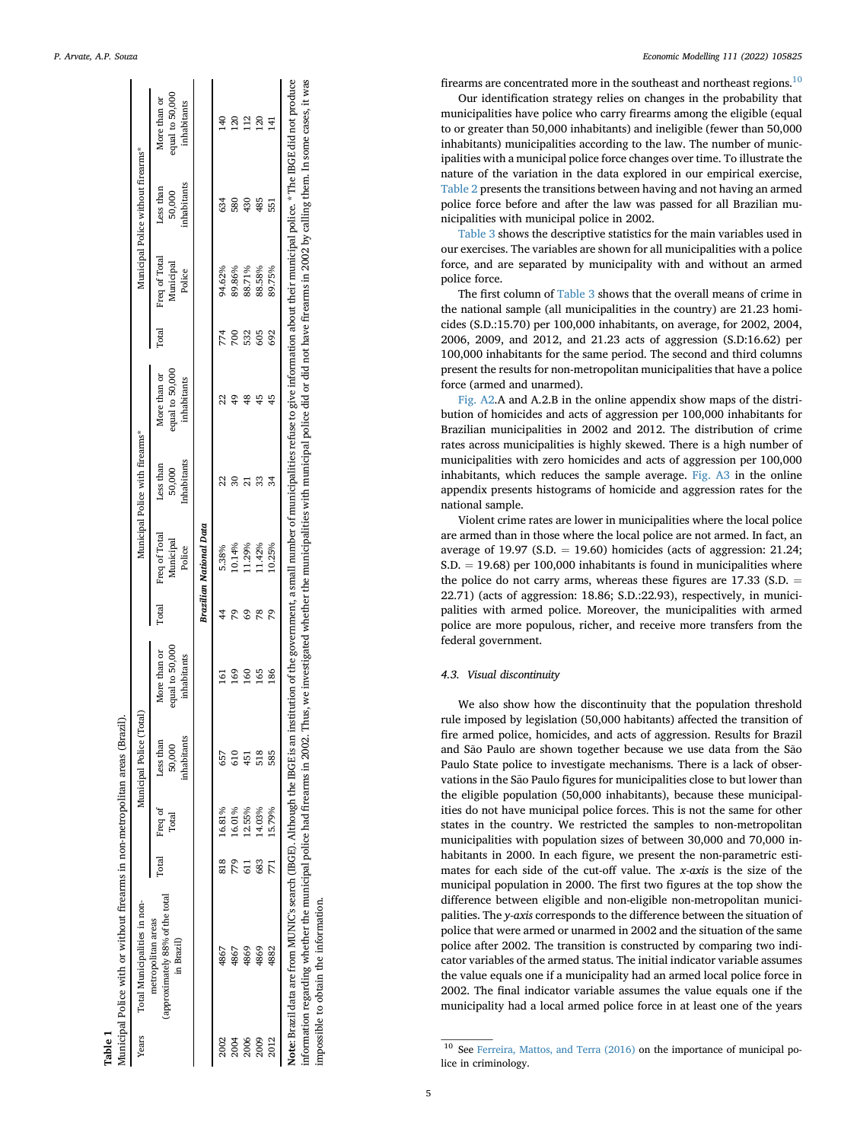<span id="page-4-0"></span>

| equal to 50,000<br>More than or<br>inhabitants<br>12<br>$\frac{4}{3}$<br>120<br>ನ<br>$\overline{4}$<br>inhabitants<br>Less than<br>50,000<br>580<br>430<br>634<br>485<br>551<br>Freq of Total<br>Municipal<br>94.62%<br>89.86%<br>88.71%<br>89.75%<br>88.58%<br>Police<br>Total<br>532<br>692<br>774<br>700<br>605<br>equal to 50,000<br>More than or<br>inhabitants<br>Inhabitants<br>Less than<br>50,000<br>Brazilian National Data<br>Freq of Total<br>Municipal<br>10.14%<br>11.29%<br>1.42%<br>10.25%<br>5.38%<br>Police<br>Total<br>S9<br>78<br>29<br>2<br>equal to 50,000<br>More than or<br>inhabitants<br><b>S9</b><br>165<br>186<br>$^{160}$<br>5<br>inhabitants<br>Less than<br>50,000<br>518<br>585<br>657<br>451<br>15.79%<br>16.81%<br>16.01%<br>12.55%<br>14.03%<br>Freq of<br>Total<br>Total<br>818<br>779<br>683<br>(approximately 88% of the total<br>metropolitan areas<br>in Brazil)<br>4869<br>4867<br>4869<br>4867<br>4882<br>2006<br>2012<br>2009<br>2004 | information regarding whether the municipal police had firearms in 2002. Thus, we investigated whether the municipalities with municipal police did or did not have firearms in 2002 by calling them. In some cases, it was<br>Note: Brazil data are from MUNIC's search (IBGE). Although the IBGE is an institution of the government, a small number of municipalities refuse to give information about their municipal police. * The IBGE did not produce | Years | Total Municipalities in non- |  | Municipal Police (Total) |  | Municipal Police with firearms* |  | Municipal Police without firearms* |  |
|----------------------------------------------------------------------------------------------------------------------------------------------------------------------------------------------------------------------------------------------------------------------------------------------------------------------------------------------------------------------------------------------------------------------------------------------------------------------------------------------------------------------------------------------------------------------------------------------------------------------------------------------------------------------------------------------------------------------------------------------------------------------------------------------------------------------------------------------------------------------------------------------------------------------------------------------------------------------------------|--------------------------------------------------------------------------------------------------------------------------------------------------------------------------------------------------------------------------------------------------------------------------------------------------------------------------------------------------------------------------------------------------------------------------------------------------------------|-------|------------------------------|--|--------------------------|--|---------------------------------|--|------------------------------------|--|
|                                                                                                                                                                                                                                                                                                                                                                                                                                                                                                                                                                                                                                                                                                                                                                                                                                                                                                                                                                                  |                                                                                                                                                                                                                                                                                                                                                                                                                                                              |       |                              |  |                          |  |                                 |  |                                    |  |
|                                                                                                                                                                                                                                                                                                                                                                                                                                                                                                                                                                                                                                                                                                                                                                                                                                                                                                                                                                                  |                                                                                                                                                                                                                                                                                                                                                                                                                                                              |       |                              |  |                          |  |                                 |  |                                    |  |
|                                                                                                                                                                                                                                                                                                                                                                                                                                                                                                                                                                                                                                                                                                                                                                                                                                                                                                                                                                                  |                                                                                                                                                                                                                                                                                                                                                                                                                                                              |       |                              |  |                          |  |                                 |  |                                    |  |
|                                                                                                                                                                                                                                                                                                                                                                                                                                                                                                                                                                                                                                                                                                                                                                                                                                                                                                                                                                                  |                                                                                                                                                                                                                                                                                                                                                                                                                                                              |       |                              |  |                          |  |                                 |  |                                    |  |
|                                                                                                                                                                                                                                                                                                                                                                                                                                                                                                                                                                                                                                                                                                                                                                                                                                                                                                                                                                                  |                                                                                                                                                                                                                                                                                                                                                                                                                                                              |       |                              |  |                          |  |                                 |  |                                    |  |
|                                                                                                                                                                                                                                                                                                                                                                                                                                                                                                                                                                                                                                                                                                                                                                                                                                                                                                                                                                                  |                                                                                                                                                                                                                                                                                                                                                                                                                                                              |       |                              |  |                          |  |                                 |  |                                    |  |
|                                                                                                                                                                                                                                                                                                                                                                                                                                                                                                                                                                                                                                                                                                                                                                                                                                                                                                                                                                                  |                                                                                                                                                                                                                                                                                                                                                                                                                                                              |       |                              |  |                          |  |                                 |  |                                    |  |

P. Arvate, A.P. Souza Economic Modelling 111 (2022) 105825

firearms are concentrated more in the southeast and northeast regions. $10$ 

Our identi fication strategy relies on changes in the probability that municipalities have police who carry firearms among the eligible (equal to or greater than 50,000 inhabitants) and ineligible (fewer than 50,000 inhabitants) municipalities according to the law. The number of municipalities with a municipal police force changes over time. To illustrate the nature of the variation in the data explored in our empirical exercise, [Table 2](#page-5-1) presents the transitions between having and not having an armed police force before and after the law was passed for all Brazilian municipalities with municipal police in 2002.

[Table 3](#page-5-2) shows the descriptive statistics for the main variables used in our exercises. The variables are shown for all municipalities with a police force, and are separated by municipality with and without an armed police force.

The first column of [Table 3](#page-5-2) shows that the overall means of crime in the national sample (all municipalities in the country) are 21.23 homicides (S.D.:15.70) per 100,000 inhabitants, on average, for 2002, 2004, 2006, 2009, and 2012, and 21.23 acts of aggression (S.D:16.62) per 100,000 inhabitants for the same period. The second and third columns present the results for non-metropolitan municipalities that have a police force (armed and unarmed).

Fig. A2.A and A.2.B in the online appendix show maps of the distribution of homicides and acts of aggression per 100,000 inhabitants for Brazilian municipalities in 2002 and 2012. The distribution of crime rates across municipalities is highly skewed. There is a high number of municipalities with zero homicides and acts of aggression per 100,000 inhabitants, which reduces the sample average. Fig. A3 in the online appendix presents histograms of homicide and aggression rates for the national sample.

Violent crime rates are lower in municipalities where the local police are armed than in those where the local police are not armed. In fact, an average of  $19.97$  (S.D.  $= 19.60$ ) homicides (acts of aggression:  $21.24$ ; S.D. = 19.68) per 100,000 inhabitants is found in municipalities where the police do not carry arms, whereas these figures are  $17.33$  (S.D. = 22.71) (acts of aggression: 18.86; S.D.:22.93), respectively, in municipalities with armed police. Moreover, the municipalities with armed police are more populous, richer, and receive more transfers from the federal government.

## 4.3. Visual discontinuity

We also show how the discontinuity that the population threshold rule imposed by legislation (50,000 habitants) affected the transition of fire armed police, homicides, and acts of aggression. Results for Brazil and São Paulo are shown together because we use data from the São Paulo State police to investigate mechanisms. There is a lack of observations in the São Paulo figures for municipalities close to but lower than the eligible population (50,000 inhabitants), because these municipalities do not have municipal police forces. This is not the same for other states in the country. We restricted the samples to non-metropolitan municipalities with population sizes of between 30,000 and 70,000 inhabitants in 2000. In each figure, we present the non-parametric estimates for each side of the cut-off value. The x-axis is the size of the municipal population in 2000. The first two figures at the top show the difference between eligible and non-eligible non-metropolitan municipalities. The y-axis corresponds to the difference between the situation of police that were armed or unarmed in 2002 and the situation of the same police after 2002. The transition is constructed by comparing two indicator variables of the armed status. The initial indicator variable assumes the value equals one if a municipality had an armed local police force in 2002. The final indicator variable assumes the value equals one if the municipality had a local armed police force in at least one of the years

<span id="page-4-1"></span><sup>&</sup>lt;sup>10</sup> See [Ferreira, Mattos, and Terra \(2016\)](#page-12-35) on the importance of municipal police in criminology.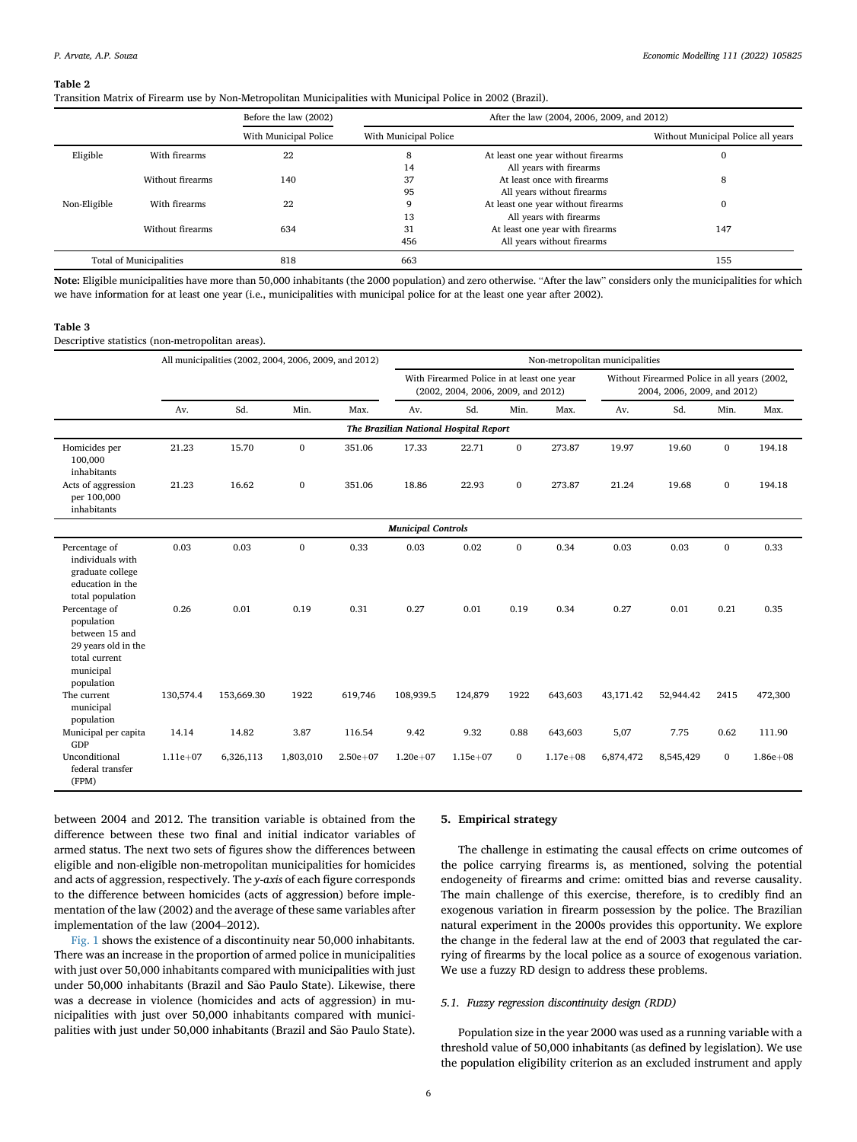<span id="page-5-1"></span>Transition Matrix of Firearm use by Non-Metropolitan Municipalities with Municipal Police in 2002 (Brazil).

|              |                         | Before the law (2002) |                       | After the law (2004, 2006, 2009, and 2012) |                                    |
|--------------|-------------------------|-----------------------|-----------------------|--------------------------------------------|------------------------------------|
|              |                         | With Municipal Police | With Municipal Police |                                            | Without Municipal Police all years |
| Eligible     | With firearms           | 22                    | 8                     | At least one year without firearms         |                                    |
|              |                         |                       | 14                    | All years with firearms                    |                                    |
|              | Without firearms        | 140                   | 37                    | At least once with firearms                | 8                                  |
|              |                         |                       | 95                    | All years without firearms                 |                                    |
| Non-Eligible | With firearms           | 22                    | 9                     | At least one year without firearms         |                                    |
|              |                         |                       | 13                    | All years with firearms                    |                                    |
|              | Without firearms        | 634                   | 31                    | At least one year with firearms            | 147                                |
|              |                         |                       | 456                   | All years without firearms                 |                                    |
|              | Total of Municipalities | 818                   | 663                   |                                            | 155                                |

Note: Eligible municipalities have more than 50,000 inhabitants (the 2000 population) and zero otherwise. "After the law" considers only the municipalities for which we have information for at least one year (i.e., municipalities with municipal police for at the least one year after 2002).

#### <span id="page-5-2"></span>Table 3

Descriptive statistics (non-metropolitan areas).

|                                                                                                                  |            | All municipalities (2002, 2004, 2006, 2009, and 2012) |              |              |                                        |                                                                                  |              |              | Non-metropolitan municipalities |                                                                             |              |              |
|------------------------------------------------------------------------------------------------------------------|------------|-------------------------------------------------------|--------------|--------------|----------------------------------------|----------------------------------------------------------------------------------|--------------|--------------|---------------------------------|-----------------------------------------------------------------------------|--------------|--------------|
|                                                                                                                  |            |                                                       |              |              |                                        | With Firearmed Police in at least one year<br>(2002, 2004, 2006, 2009, and 2012) |              |              |                                 | Without Firearmed Police in all years (2002,<br>2004, 2006, 2009, and 2012) |              |              |
|                                                                                                                  | Av.        | Sd.                                                   | Min.         | Max.         | Av.                                    | Sd.                                                                              | Min.         | Max.         | Av.                             | Sd.                                                                         | Min.         | Max.         |
|                                                                                                                  |            |                                                       |              |              | The Brazilian National Hospital Report |                                                                                  |              |              |                                 |                                                                             |              |              |
| Homicides per<br>100,000<br>inhabitants                                                                          | 21.23      | 15.70                                                 | $\mathbf{0}$ | 351.06       | 17.33                                  | 22.71                                                                            | $\mathbf{0}$ | 273.87       | 19.97                           | 19.60                                                                       | $\mathbf{0}$ | 194.18       |
| Acts of aggression<br>per 100,000<br>inhabitants                                                                 | 21.23      | 16.62                                                 | $\bf{0}$     | 351.06       | 18.86                                  | 22.93                                                                            | $\bf{0}$     | 273.87       | 21.24                           | 19.68                                                                       | $\mathbf{0}$ | 194.18       |
|                                                                                                                  |            |                                                       |              |              | <b>Municipal Controls</b>              |                                                                                  |              |              |                                 |                                                                             |              |              |
| Percentage of<br>individuals with<br>graduate college<br>education in the<br>total population                    | 0.03       | 0.03                                                  | $\mathbf{0}$ | 0.33         | 0.03                                   | 0.02                                                                             | $\mathbf{0}$ | 0.34         | 0.03                            | 0.03                                                                        | $\mathbf{0}$ | 0.33         |
| Percentage of<br>population<br>between 15 and<br>29 years old in the<br>total current<br>municipal<br>population | 0.26       | 0.01                                                  | 0.19         | 0.31         | 0.27                                   | 0.01                                                                             | 0.19         | 0.34         | 0.27                            | 0.01                                                                        | 0.21         | 0.35         |
| The current<br>municipal<br>population                                                                           | 130,574.4  | 153,669.30                                            | 1922         | 619,746      | 108,939.5                              | 124,879                                                                          | 1922         | 643,603      | 43,171.42                       | 52,944.42                                                                   | 2415         | 472,300      |
| Municipal per capita<br>GDP                                                                                      | 14.14      | 14.82                                                 | 3.87         | 116.54       | 9.42                                   | 9.32                                                                             | 0.88         | 643,603      | 5,07                            | 7.75                                                                        | 0.62         | 111.90       |
| Unconditional<br>federal transfer<br>(FPM)                                                                       | $1.11e+07$ | 6,326,113                                             | 1,803,010    | $2.50e + 07$ | $1.20e + 07$                           | $1.15e+07$                                                                       | $\bf{0}$     | $1.17e + 08$ | 6,874,472                       | 8,545,429                                                                   | $\Omega$     | $1.86e + 08$ |

between 2004 and 2012. The transition variable is obtained from the difference between these two final and initial indicator variables of armed status. The next two sets of figures show the differences between eligible and non-eligible non-metropolitan municipalities for homicides and acts of aggression, respectively. The y-axis of each figure corresponds to the difference between homicides (acts of aggression) before implementation of the law (2002) and the average of these same variables after implementation of the law (2004–2012).

[Fig. 1](#page-6-0) shows the existence of a discontinuity near 50,000 inhabitants. There was an increase in the proportion of armed police in municipalities with just over 50,000 inhabitants compared with municipalities with just under 50,000 inhabitants (Brazil and São Paulo State). Likewise, there was a decrease in violence (homicides and acts of aggression) in municipalities with just over 50,000 inhabitants compared with municipalities with just under 50,000 inhabitants (Brazil and São Paulo State).

#### <span id="page-5-0"></span>5. Empirical strategy

The challenge in estimating the causal effects on crime outcomes of the police carrying firearms is, as mentioned, solving the potential endogeneity of firearms and crime: omitted bias and reverse causality. The main challenge of this exercise, therefore, is to credibly find an exogenous variation in firearm possession by the police. The Brazilian natural experiment in the 2000s provides this opportunity. We explore the change in the federal law at the end of 2003 that regulated the carrying of firearms by the local police as a source of exogenous variation. We use a fuzzy RD design to address these problems.

## 5.1. Fuzzy regression discontinuity design (RDD)

Population size in the year 2000 was used as a running variable with a threshold value of 50,000 inhabitants (as defined by legislation). We use the population eligibility criterion as an excluded instrument and apply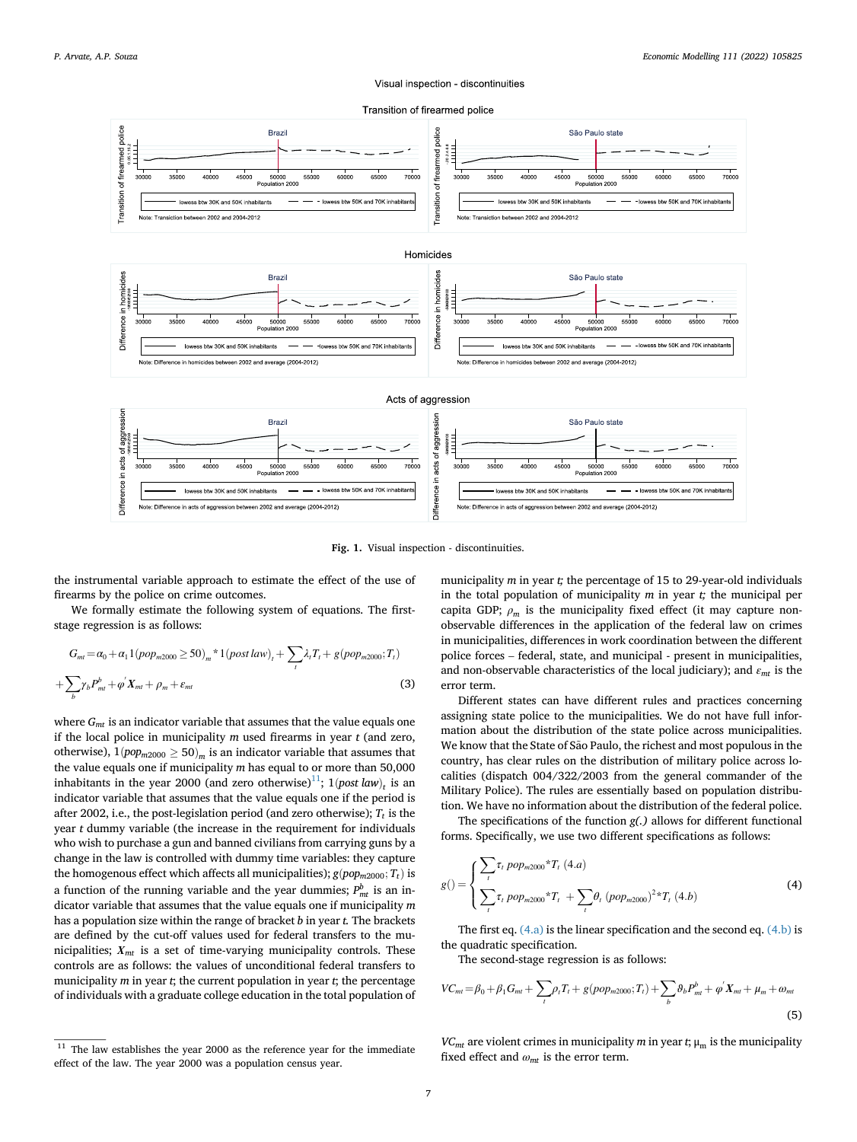#### Visual inspection - discontinuities



<span id="page-6-0"></span>

Fig. 1. Visual inspection - discontinuities.

the instrumental variable approach to estimate the effect of the use of firearms by the police on crime outcomes.

We formally estimate the following system of equations. The firststage regression is as follows:

<span id="page-6-3"></span>
$$
G_{mt} = \alpha_0 + \alpha_1 1 (pop_{m2000} \ge 50)_m * 1 (post law)_t + \sum_i \lambda_i T_i + g (pop_{m2000}; T_t)
$$
  
+ 
$$
\sum_b \gamma_b P_{mt}^b + \varphi' X_{mt} + \rho_m + \varepsilon_{mt}
$$
 (3)

where  $G<sub>mt</sub>$  is an indicator variable that assumes that the value equals one if the local police in municipality  $m$  used firearms in year  $t$  (and zero, otherwise),  $1(pop_{m2000} \ge 50)<sub>m</sub>$  is an indicator variable that assumes that the value equals one if municipality  $m$  has equal to or more than 50,000 inhabitants in the year 2000 (and zero otherwise)<sup>[11](#page-6-1)</sup>; 1*(post law)<sub>t</sub>* is an indicator variable that assumes that the value equals one if the period is after 2002, i.e., the post-legislation period (and zero otherwise);  $T_t$  is the year t dummy variable (the increase in the requirement for individuals who wish to purchase a gun and banned civilians from carrying guns by a change in the law is controlled with dummy time variables: they capture the homogenous effect which affects all municipalities);  $g(pop_{m2000}; T_t)$  is a function of the running variable and the year dummies;  $P_{mt}^b$  is an indicator variable that assumes that the value equals one if municipality  $m$ has a population size within the range of bracket  $b$  in year  $t$ . The brackets are defined by the cut-off values used for federal transfers to the municipalities;  $X_{mt}$  is a set of time-varying municipality controls. These controls are as follows: the values of unconditional federal transfers to municipality  $m$  in year  $t$ ; the current population in year  $t$ ; the percentage of individuals with a graduate college education in the total population of municipality  $m$  in year  $t$ ; the percentage of 15 to 29-year-old individuals in the total population of municipality  $m$  in year  $t$ ; the municipal per capita GDP;  $\rho_m$  is the municipality fixed effect (it may capture nonobservable differences in the application of the federal law on crimes in municipalities, differences in work coordination between the different police forces – federal, state, and municipal - present in municipalities, and non-observable characteristics of the local judiciary); and  $\varepsilon_{mt}$  is the error term.

Different states can have different rules and practices concerning assigning state police to the municipalities. We do not have full information about the distribution of the state police across municipalities. We know that the State of São Paulo, the richest and most populous in the country, has clear rules on the distribution of military police across localities (dispatch 004/322/2003 from the general commander of the Military Police). The rules are essentially based on population distribution. We have no information about the distribution of the federal police.

The specifications of the function g(.) allows for different functional forms. Specifically, we use two different specifications as follows:

<span id="page-6-2"></span>
$$
g\left(\right) = \begin{cases} \sum_{t} \tau_{t} \, pop_{m2000} {}^{*}T_{t} \, (4.a) \\ \sum_{t} \tau_{t} \, pop_{m2000} {}^{*}T_{t} + \sum_{t} \theta_{t} \, (pop_{m2000})^{2} {}^{*}T_{t} \, (4.b) \end{cases} \tag{4}
$$

The first eq.  $(4.a)$  is the linear specification and the second eq.  $(4.b)$  is the quadratic specification.

The second-stage regression is as follows:

$$
VC_{mt} = \beta_0 + \beta_1 G_{mt} + \sum_{t} \rho_t T_t + g(pop_{m2000}; T_t) + \sum_{b} \theta_b P_{mt}^b + \varphi' X_{mt} + \mu_m + \omega_{mt}
$$
\n(5)

 $VC<sub>mt</sub>$  are violent crimes in municipality m in year t;  $\mu_m$  is the municipality fixed effect and  $\omega_{mt}$  is the error term.

<span id="page-6-1"></span> $11$  The law establishes the year 2000 as the reference year for the immediate effect of the law. The year 2000 was a population census year.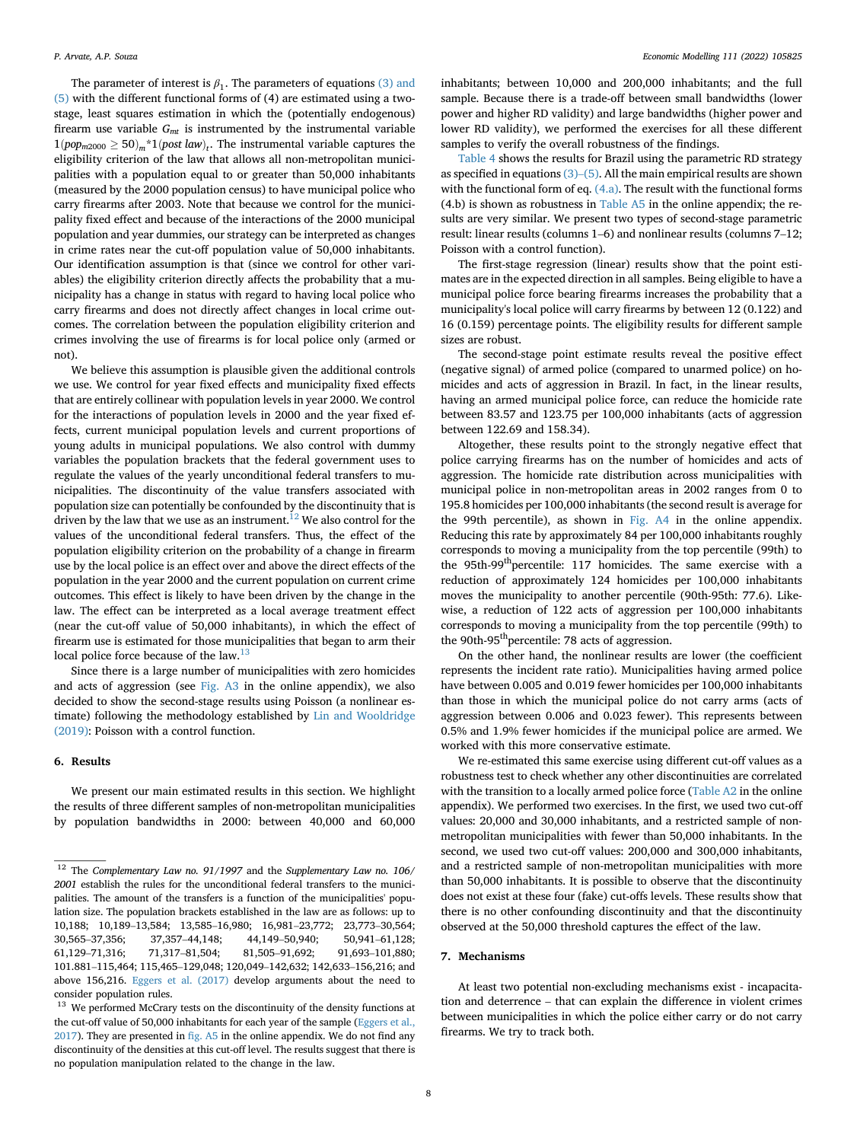The parameter of interest is  $\beta_1$ . The parameters of equations [\(3\) and](#page-6-3) [\(5\)](#page-6-3) with the different functional forms of (4) are estimated using a twostage, least squares estimation in which the (potentially endogenous) firearm use variable  $G<sub>mt</sub>$  is instrumented by the instrumental variable  $1(pop_{m2000} \ge 50)_{m}$ \*1 $(post law)_{t}$ . The instrumental variable captures the eligibility criterion of the law that allows all non-metropolitan municipalities with a population equal to or greater than 50,000 inhabitants (measured by the 2000 population census) to have municipal police who carry firearms after 2003. Note that because we control for the municipality fixed effect and because of the interactions of the 2000 municipal population and year dummies, our strategy can be interpreted as changes in crime rates near the cut-off population value of 50,000 inhabitants. Our identification assumption is that (since we control for other variables) the eligibility criterion directly affects the probability that a municipality has a change in status with regard to having local police who carry firearms and does not directly affect changes in local crime outcomes. The correlation between the population eligibility criterion and crimes involving the use of firearms is for local police only (armed or not).

We believe this assumption is plausible given the additional controls we use. We control for year fixed effects and municipality fixed effects that are entirely collinear with population levels in year 2000. We control for the interactions of population levels in 2000 and the year fixed effects, current municipal population levels and current proportions of young adults in municipal populations. We also control with dummy variables the population brackets that the federal government uses to regulate the values of the yearly unconditional federal transfers to municipalities. The discontinuity of the value transfers associated with population size can potentially be confounded by the discontinuity that is driven by the law that we use as an instrument.<sup>12</sup> We also control for the values of the unconditional federal transfers. Thus, the effect of the population eligibility criterion on the probability of a change in firearm use by the local police is an effect over and above the direct effects of the population in the year 2000 and the current population on current crime outcomes. This effect is likely to have been driven by the change in the law. The effect can be interpreted as a local average treatment effect (near the cut-off value of 50,000 inhabitants), in which the effect of firearm use is estimated for those municipalities that began to arm their local police force because of the law.<sup>[13](#page-7-3)</sup>

Since there is a large number of municipalities with zero homicides and acts of aggression (see Fig. A3 in the online appendix), we also decided to show the second-stage results using Poisson (a nonlinear estimate) following the methodology established by [Lin and Wooldridge](#page-12-36) [\(2019\)](#page-12-36): Poisson with a control function.

## <span id="page-7-0"></span>6. Results

We present our main estimated results in this section. We highlight the results of three different samples of non-metropolitan municipalities by population bandwidths in 2000: between 40,000 and 60,000

inhabitants; between 10,000 and 200,000 inhabitants; and the full sample. Because there is a trade-off between small bandwidths (lower power and higher RD validity) and large bandwidths (higher power and lower RD validity), we performed the exercises for all these different samples to verify the overall robustness of the findings.

[Table 4](#page-8-0) shows the results for Brazil using the parametric RD strategy as specified in equations [\(3\)](#page-6-3)–[\(5\)](#page-6-3). All the main empirical results are shown with the functional form of eq. [\(4.a\)](#page-6-2). The result with the functional forms  $(4.b)$  is shown as robustness in Table A5 in the online appendix; the results are very similar. We present two types of second-stage parametric result: linear results (columns 1–6) and nonlinear results (columns 7–12; Poisson with a control function).

The first-stage regression (linear) results show that the point estimates are in the expected direction in all samples. Being eligible to have a municipal police force bearing firearms increases the probability that a municipality's local police will carry firearms by between 12 (0.122) and 16 (0.159) percentage points. The eligibility results for different sample sizes are robust.

The second-stage point estimate results reveal the positive effect (negative signal) of armed police (compared to unarmed police) on homicides and acts of aggression in Brazil. In fact, in the linear results, having an armed municipal police force, can reduce the homicide rate between 83.57 and 123.75 per 100,000 inhabitants (acts of aggression between 122.69 and 158.34).

Altogether, these results point to the strongly negative effect that police carrying firearms has on the number of homicides and acts of aggression. The homicide rate distribution across municipalities with municipal police in non-metropolitan areas in 2002 ranges from 0 to 195.8 homicides per 100,000 inhabitants (the second result is average for the 99th percentile), as shown in Fig. A4 in the online appendix. Reducing this rate by approximately 84 per 100,000 inhabitants roughly corresponds to moving a municipality from the top percentile (99th) to the 95th-99<sup>th</sup>percentile: 117 homicides. The same exercise with a reduction of approximately 124 homicides per 100,000 inhabitants moves the municipality to another percentile (90th-95th: 77.6). Likewise, a reduction of 122 acts of aggression per 100,000 inhabitants corresponds to moving a municipality from the top percentile (99th) to the 90th-95<sup>th</sup>percentile: 78 acts of aggression.

On the other hand, the nonlinear results are lower (the coefficient represents the incident rate ratio). Municipalities having armed police have between 0.005 and 0.019 fewer homicides per 100,000 inhabitants than those in which the municipal police do not carry arms (acts of aggression between 0.006 and 0.023 fewer). This represents between 0.5% and 1.9% fewer homicides if the municipal police are armed. We worked with this more conservative estimate.

We re-estimated this same exercise using different cut-off values as a robustness test to check whether any other discontinuities are correlated with the transition to a locally armed police force (Table A2 in the online appendix). We performed two exercises. In the first, we used two cut-off values: 20,000 and 30,000 inhabitants, and a restricted sample of nonmetropolitan municipalities with fewer than 50,000 inhabitants. In the second, we used two cut-off values: 200,000 and 300,000 inhabitants, and a restricted sample of non-metropolitan municipalities with more than 50,000 inhabitants. It is possible to observe that the discontinuity does not exist at these four (fake) cut-offs levels. These results show that there is no other confounding discontinuity and that the discontinuity observed at the 50,000 threshold captures the effect of the law.

#### <span id="page-7-1"></span>7. Mechanisms

At least two potential non-excluding mechanisms exist - incapacitation and deterrence – that can explain the difference in violent crimes between municipalities in which the police either carry or do not carry firearms. We try to track both.

<span id="page-7-2"></span> $12$  The Complementary Law no. 91/1997 and the Supplementary Law no. 106/ 2001 establish the rules for the unconditional federal transfers to the municipalities. The amount of the transfers is a function of the municipalities' population size. The population brackets established in the law are as follows: up to 10,188; 10,189–13,584; 13,585–16,980; 16,981–23,772; 23,773–30,564; 30,565–37,356; 37,357–44,148; 44,149–50,940; 50,941–61,128; 61,129–71,316; 71,317–81,504; 81,505–91,692; 91,693–101,880; 101.881–115,464; 115,465–129,048; 120,049–142,632; 142,633–156,216; and above 156,216. [Eggers et al. \(2017\)](#page-12-37) develop arguments about the need to consider population rules.

<span id="page-7-3"></span><sup>&</sup>lt;sup>13</sup> We performed McCrary tests on the discontinuity of the density functions at the cut-off value of 50,000 inhabitants for each year of the sample ([Eggers et al.,](#page-12-37) [2017\)](#page-12-37). They are presented in fig. A5 in the online appendix. We do not find any discontinuity of the densities at this cut-off level. The results suggest that there is no population manipulation related to the change in the law.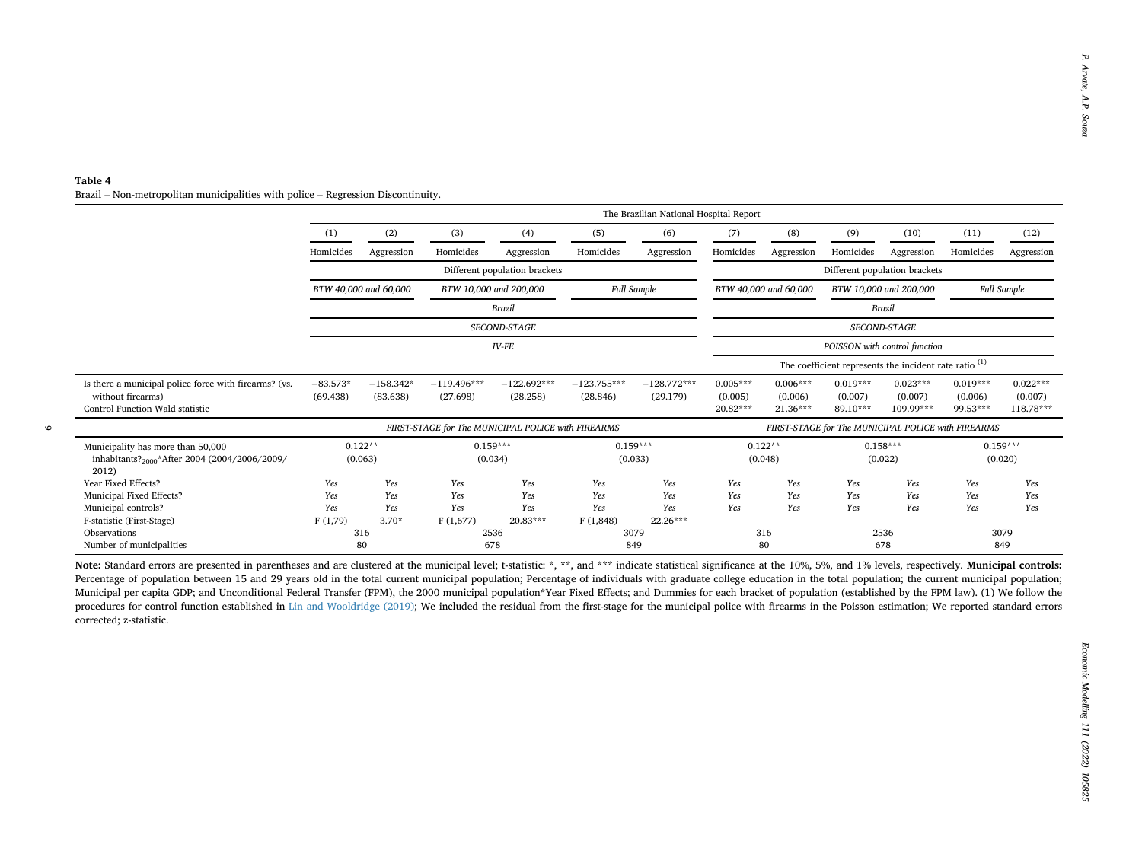#### <span id="page-8-0"></span>Table 4 Brazil – Non-metropolitan municipalities with police – Regression Discontinuity.

| (2)<br>(8)<br>(9)<br>(1)<br>(3)<br>(4)<br>(5)<br>(6)<br>(7)<br>(10)<br>(11)<br>Homicides<br>Aggression<br>Homicides<br>Homicides<br>Aggression<br>Homicides<br>Aggression<br>Homicides<br>Aggression<br>Homicides<br>Aggression<br>Different population brackets<br>Different population brackets<br>BTW 40,000 and 60,000<br>BTW 10,000 and 200,000<br><b>Full Sample</b><br>BTW 40,000 and 60,000<br><b>Full Sample</b><br>BTW 10,000 and 200,000<br><b>Brazil</b><br><b>Brazil</b><br>SECOND-STAGE<br>SECOND-STAGE<br>$IV$ - $FE$<br>POISSON with control function<br>The coefficient represents the incident rate ratio <sup>(1)</sup><br>$-128.772***$<br>$0.005***$<br>$0.019***$<br>$0.023***$<br>$0.019***$<br>$-83.573*$<br>$-158.342*$<br>$-119.496***$<br>$-122.692***$<br>$-123.755***$<br>$0.006***$<br>without firearms)<br>(69.438)<br>(83.638)<br>(27.698)<br>(28.258)<br>(28.846)<br>(29.179)<br>(0.005)<br>(0.007)<br>(0.006)<br>(0.007)<br>(0.006)<br>20.82***<br>21.36***<br>89.10***<br>109.99***<br>99.53***<br>FIRST-STAGE for The MUNICIPAL POLICE with FIREARMS<br>FIRST-STAGE for The MUNICIPAL POLICE with FIREARMS<br>$0.122**$<br>$0.159***$<br>$0.159***$<br>$0.122**$<br>$0.158***$<br>$0.159***$<br>inhabitants? <sub>2000</sub> *After 2004 (2004/2006/2009/<br>(0.063)<br>(0.034)<br>(0.033)<br>(0.048)<br>(0.022)<br>(0.020)<br>2012)<br>Yes<br>Yes<br>Yes<br>Yes<br>Yes<br>Yes<br>Yes<br>Yes<br>Yes<br>Yes<br>Yes<br>Yes<br>Yes<br>Yes<br>Yes<br>Yes<br>Yes<br>Yes<br>Yes<br>Yes<br>Yes<br>Yes<br>Yes<br>Yes<br>Yes<br>Yes<br>Yes<br>Yes<br>Yes<br>Yes<br>Yes<br>Yes<br>Yes<br>Yes<br>Yes<br>Yes<br>$3.70*$<br>20.83***<br>F(1,848)<br>22.26***<br>F(1,79)<br>F(1,677)<br>316<br>2536<br>3079<br>316<br>3079<br>2536<br>80<br>678<br>849<br>80<br>678<br>849 |  |  |  |  |  | (12)<br>Aggression<br>$0.022***$<br>(0.007)<br>118.78*** |
|--------------------------------------------------------------------------------------------------------------------------------------------------------------------------------------------------------------------------------------------------------------------------------------------------------------------------------------------------------------------------------------------------------------------------------------------------------------------------------------------------------------------------------------------------------------------------------------------------------------------------------------------------------------------------------------------------------------------------------------------------------------------------------------------------------------------------------------------------------------------------------------------------------------------------------------------------------------------------------------------------------------------------------------------------------------------------------------------------------------------------------------------------------------------------------------------------------------------------------------------------------------------------------------------------------------------------------------------------------------------------------------------------------------------------------------------------------------------------------------------------------------------------------------------------------------------------------------------------------------------------------------------------------------------------------------------------------------------------------------------------------------------------------------------------|--|--|--|--|--|----------------------------------------------------------|
|                                                                                                                                                                                                                                                                                                                                                                                                                                                                                                                                                                                                                                                                                                                                                                                                                                                                                                                                                                                                                                                                                                                                                                                                                                                                                                                                                                                                                                                                                                                                                                                                                                                                                                                                                                                                  |  |  |  |  |  |                                                          |
|                                                                                                                                                                                                                                                                                                                                                                                                                                                                                                                                                                                                                                                                                                                                                                                                                                                                                                                                                                                                                                                                                                                                                                                                                                                                                                                                                                                                                                                                                                                                                                                                                                                                                                                                                                                                  |  |  |  |  |  |                                                          |
|                                                                                                                                                                                                                                                                                                                                                                                                                                                                                                                                                                                                                                                                                                                                                                                                                                                                                                                                                                                                                                                                                                                                                                                                                                                                                                                                                                                                                                                                                                                                                                                                                                                                                                                                                                                                  |  |  |  |  |  |                                                          |
|                                                                                                                                                                                                                                                                                                                                                                                                                                                                                                                                                                                                                                                                                                                                                                                                                                                                                                                                                                                                                                                                                                                                                                                                                                                                                                                                                                                                                                                                                                                                                                                                                                                                                                                                                                                                  |  |  |  |  |  |                                                          |
| Is there a municipal police force with firearms? (vs.<br>Control Function Wald statistic                                                                                                                                                                                                                                                                                                                                                                                                                                                                                                                                                                                                                                                                                                                                                                                                                                                                                                                                                                                                                                                                                                                                                                                                                                                                                                                                                                                                                                                                                                                                                                                                                                                                                                         |  |  |  |  |  |                                                          |
|                                                                                                                                                                                                                                                                                                                                                                                                                                                                                                                                                                                                                                                                                                                                                                                                                                                                                                                                                                                                                                                                                                                                                                                                                                                                                                                                                                                                                                                                                                                                                                                                                                                                                                                                                                                                  |  |  |  |  |  |                                                          |
|                                                                                                                                                                                                                                                                                                                                                                                                                                                                                                                                                                                                                                                                                                                                                                                                                                                                                                                                                                                                                                                                                                                                                                                                                                                                                                                                                                                                                                                                                                                                                                                                                                                                                                                                                                                                  |  |  |  |  |  |                                                          |
|                                                                                                                                                                                                                                                                                                                                                                                                                                                                                                                                                                                                                                                                                                                                                                                                                                                                                                                                                                                                                                                                                                                                                                                                                                                                                                                                                                                                                                                                                                                                                                                                                                                                                                                                                                                                  |  |  |  |  |  |                                                          |
|                                                                                                                                                                                                                                                                                                                                                                                                                                                                                                                                                                                                                                                                                                                                                                                                                                                                                                                                                                                                                                                                                                                                                                                                                                                                                                                                                                                                                                                                                                                                                                                                                                                                                                                                                                                                  |  |  |  |  |  |                                                          |
| Municipality has more than 50,000<br>Year Fixed Effects?<br>Municipal Fixed Effects?<br>Municipal controls?<br>F-statistic (First-Stage)<br>Observations<br>Number of municipalities<br>Note: Standard errors are presented in parentheses and are clustered at the municipal level; t-statistic: *, **, and *** indicate statistical significance at the 10%, 5%, and 1% levels, respectively. Municipal controls:<br>Percentage of population between 15 and 29 years old in the total current municipal population; Percentage of individuals with graduate college education in the total population; the current municipal population;<br>Municipal per capita GDP; and Unconditional Federal Transfer (FPM), the 2000 municipal population*Year Fixed Effects; and Dummies for each bracket of population (established by the FPM law). (1) We follow the<br>procedures for control function established in Lin and Wooldridge (2019); We included the residual from the first-stage for the municipal police with firearms in the Poisson estimation; We reported standard errors<br>corrected; z-statistic.                                                                                                                                                                                                                                                                                                                                                                                                                                                                                                                                                                                                                                                                              |  |  |  |  |  |                                                          |
|                                                                                                                                                                                                                                                                                                                                                                                                                                                                                                                                                                                                                                                                                                                                                                                                                                                                                                                                                                                                                                                                                                                                                                                                                                                                                                                                                                                                                                                                                                                                                                                                                                                                                                                                                                                                  |  |  |  |  |  |                                                          |
|                                                                                                                                                                                                                                                                                                                                                                                                                                                                                                                                                                                                                                                                                                                                                                                                                                                                                                                                                                                                                                                                                                                                                                                                                                                                                                                                                                                                                                                                                                                                                                                                                                                                                                                                                                                                  |  |  |  |  |  |                                                          |
|                                                                                                                                                                                                                                                                                                                                                                                                                                                                                                                                                                                                                                                                                                                                                                                                                                                                                                                                                                                                                                                                                                                                                                                                                                                                                                                                                                                                                                                                                                                                                                                                                                                                                                                                                                                                  |  |  |  |  |  |                                                          |
|                                                                                                                                                                                                                                                                                                                                                                                                                                                                                                                                                                                                                                                                                                                                                                                                                                                                                                                                                                                                                                                                                                                                                                                                                                                                                                                                                                                                                                                                                                                                                                                                                                                                                                                                                                                                  |  |  |  |  |  |                                                          |
|                                                                                                                                                                                                                                                                                                                                                                                                                                                                                                                                                                                                                                                                                                                                                                                                                                                                                                                                                                                                                                                                                                                                                                                                                                                                                                                                                                                                                                                                                                                                                                                                                                                                                                                                                                                                  |  |  |  |  |  |                                                          |
|                                                                                                                                                                                                                                                                                                                                                                                                                                                                                                                                                                                                                                                                                                                                                                                                                                                                                                                                                                                                                                                                                                                                                                                                                                                                                                                                                                                                                                                                                                                                                                                                                                                                                                                                                                                                  |  |  |  |  |  |                                                          |
|                                                                                                                                                                                                                                                                                                                                                                                                                                                                                                                                                                                                                                                                                                                                                                                                                                                                                                                                                                                                                                                                                                                                                                                                                                                                                                                                                                                                                                                                                                                                                                                                                                                                                                                                                                                                  |  |  |  |  |  |                                                          |
|                                                                                                                                                                                                                                                                                                                                                                                                                                                                                                                                                                                                                                                                                                                                                                                                                                                                                                                                                                                                                                                                                                                                                                                                                                                                                                                                                                                                                                                                                                                                                                                                                                                                                                                                                                                                  |  |  |  |  |  |                                                          |
|                                                                                                                                                                                                                                                                                                                                                                                                                                                                                                                                                                                                                                                                                                                                                                                                                                                                                                                                                                                                                                                                                                                                                                                                                                                                                                                                                                                                                                                                                                                                                                                                                                                                                                                                                                                                  |  |  |  |  |  |                                                          |
|                                                                                                                                                                                                                                                                                                                                                                                                                                                                                                                                                                                                                                                                                                                                                                                                                                                                                                                                                                                                                                                                                                                                                                                                                                                                                                                                                                                                                                                                                                                                                                                                                                                                                                                                                                                                  |  |  |  |  |  |                                                          |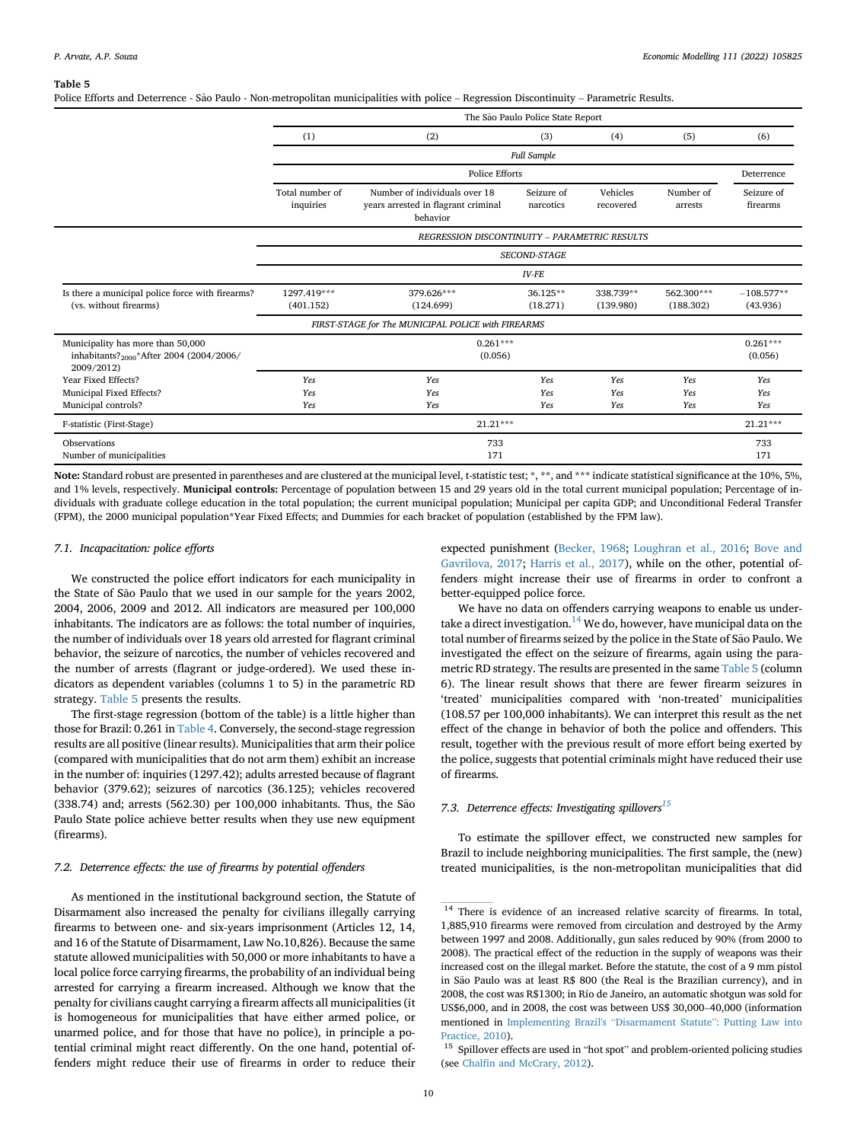<span id="page-9-0"></span>Police Efforts and Deterrence - São Paulo - Non-metropolitan municipalities with police – Regression Discontinuity – Parametric Results.

|                                                                                                         |                          |                                                    | The São Paulo Police State Report |                        |                         |                          |
|---------------------------------------------------------------------------------------------------------|--------------------------|----------------------------------------------------|-----------------------------------|------------------------|-------------------------|--------------------------|
|                                                                                                         | (1)                      | (2)                                                | (3)                               | (4)                    | (5)                     | (6)                      |
|                                                                                                         |                          |                                                    | <b>Full Sample</b>                |                        |                         |                          |
|                                                                                                         |                          | Police Efforts                                     |                                   |                        |                         | Deterrence               |
|                                                                                                         | Total number of          | Number of individuals over 18                      | Seizure of                        | Vehicles               | Number of               | Seizure of               |
|                                                                                                         | inquiries                | years arrested in flagrant criminal<br>behavior    | narcotics                         | recovered              | arrests                 | firearms                 |
|                                                                                                         |                          | REGRESSION DISCONTINUITY - PARAMETRIC RESULTS      |                                   |                        |                         |                          |
|                                                                                                         |                          |                                                    | <b>SECOND-STAGE</b>               |                        |                         |                          |
|                                                                                                         |                          |                                                    | $IV$ - $FE$                       |                        |                         |                          |
| Is there a municipal police force with firearms?<br>(vs. without firearms)                              | 1297.419***<br>(401.152) | 379.626***<br>(124.699)                            | 36.125**<br>(18.271)              | 338.739**<br>(139.980) | 562.300***<br>(188.302) | $-108.577**$<br>(43.936) |
|                                                                                                         |                          | FIRST-STAGE for The MUNICIPAL POLICE with FIREARMS |                                   |                        |                         |                          |
| Municipality has more than 50,000<br>inhabitants? <sub>2000</sub> *After 2004 (2004/2006/<br>2009/2012) |                          | $0.261***$<br>(0.056)                              |                                   |                        |                         | $0.261***$<br>(0.056)    |
| Year Fixed Effects?                                                                                     | Yes                      | Yes                                                | Yes                               | Yes                    | Yes                     | Yes                      |
| Municipal Fixed Effects?<br>Municipal controls?                                                         | Yes<br>Yes               | Yes<br>Yes                                         | Yes<br>Yes                        | Yes<br>Yes             | Yes<br>Yes              | Yes<br>Yes               |
| F-statistic (First-Stage)                                                                               |                          | 21.21***                                           |                                   |                        |                         | $21.21***$               |
| Observations<br>Number of municipalities                                                                |                          | 733<br>171                                         |                                   |                        |                         | 733<br>171               |

Note: Standard robust are presented in parentheses and are clustered at the municipal level, t-statistic test; \*, \*\*, and \*\*\* indicate statistical significance at the 10%, 5%, and 1% levels, respectively. Municipal controls: Percentage of population between 15 and 29 years old in the total current municipal population; Percentage of individuals with graduate college education in the total population; the current municipal population; Municipal per capita GDP; and Unconditional Federal Transfer (FPM), the 2000 municipal population\*Year Fixed Effects; and Dummies for each bracket of population (established by the FPM law).

## 7.1. Incapacitation: police efforts

We constructed the police effort indicators for each municipality in the State of São Paulo that we used in our sample for the years 2002, 2004, 2006, 2009 and 2012. All indicators are measured per 100,000 inhabitants. The indicators are as follows: the total number of inquiries, the number of individuals over 18 years old arrested for flagrant criminal behavior, the seizure of narcotics, the number of vehicles recovered and the number of arrests (flagrant or judge-ordered). We used these indicators as dependent variables (columns 1 to 5) in the parametric RD strategy. [Table 5](#page-9-0) presents the results.

The first-stage regression (bottom of the table) is a little higher than those for Brazil: 0.261 in [Table 4.](#page-8-0) Conversely, the second-stage regression results are all positive (linear results). Municipalities that arm their police (compared with municipalities that do not arm them) exhibit an increase in the number of: inquiries (1297.42); adults arrested because of flagrant behavior (379.62); seizures of narcotics (36.125); vehicles recovered (338.74) and; arrests (562.30) per 100,000 inhabitants. Thus, the São Paulo State police achieve better results when they use new equipment (firearms).

## 7.2. Deterrence effects: the use of firearms by potential offenders

As mentioned in the institutional background section, the Statute of Disarmament also increased the penalty for civilians illegally carrying firearms to between one- and six-years imprisonment (Articles 12, 14, and 16 of the Statute of Disarmament, Law No.10,826). Because the same statute allowed municipalities with 50,000 or more inhabitants to have a local police force carrying firearms, the probability of an individual being arrested for carrying a firearm increased. Although we know that the penalty for civilians caught carrying a firearm affects all municipalities (it is homogeneous for municipalities that have either armed police, or unarmed police, and for those that have no police), in principle a potential criminal might react differently. On the one hand, potential offenders might reduce their use of firearms in order to reduce their

expected punishment [\(Becker, 1968](#page-12-19); [Loughran et al., 2016;](#page-12-27) [Bove and](#page-12-9) [Gavrilova, 2017](#page-12-9); [Harris et al., 2017](#page-12-10)), while on the other, potential offenders might increase their use of firearms in order to confront a better-equipped police force.

We have no data on offenders carrying weapons to enable us under-take a direct investigation.<sup>[14](#page-9-1)</sup> We do, however, have municipal data on the total number of firearms seized by the police in the State of São Paulo. We investigated the effect on the seizure of firearms, again using the parametric RD strategy. The results are presented in the same [Table 5](#page-9-0) (column 6). The linear result shows that there are fewer firearm seizures in 'treated' municipalities compared with 'non-treated' municipalities (108.57 per 100,000 inhabitants). We can interpret this result as the net effect of the change in behavior of both the police and offenders. This result, together with the previous result of more effort being exerted by the police, suggests that potential criminals might have reduced their use of firearms.

## 7.3. Deterrence effects: Investigating spillovers $^{15}$

To estimate the spillover effect, we constructed new samples for Brazil to include neighboring municipalities. The first sample, the (new) treated municipalities, is the non-metropolitan municipalities that did

<span id="page-9-1"></span><sup>&</sup>lt;sup>14</sup> There is evidence of an increased relative scarcity of firearms. In total, 1,885,910 firearms were removed from circulation and destroyed by the Army between 1997 and 2008. Additionally, gun sales reduced by 90% (from 2000 to 2008). The practical effect of the reduction in the supply of weapons was their increased cost on the illegal market. Before the statute, the cost of a 9 mm pistol in São Paulo was at least R\$ 800 (the Real is the Brazilian currency), and in 2008, the cost was R\$1300; in Rio de Janeiro, an automatic shotgun was sold for US\$6,000, and in 2008, the cost was between US\$ 30,000–40,000 (information mentioned in [Implementing Brazil's](#page-12-39) "Disarmament Statute": Putting Law into [Practice, 2010](#page-12-39)).

<span id="page-9-2"></span> $^{15}\,$  Spillover effects are used in "hot spot" and problem-oriented policing studies (see Chalfi[n and McCrary, 2012](#page-12-4)).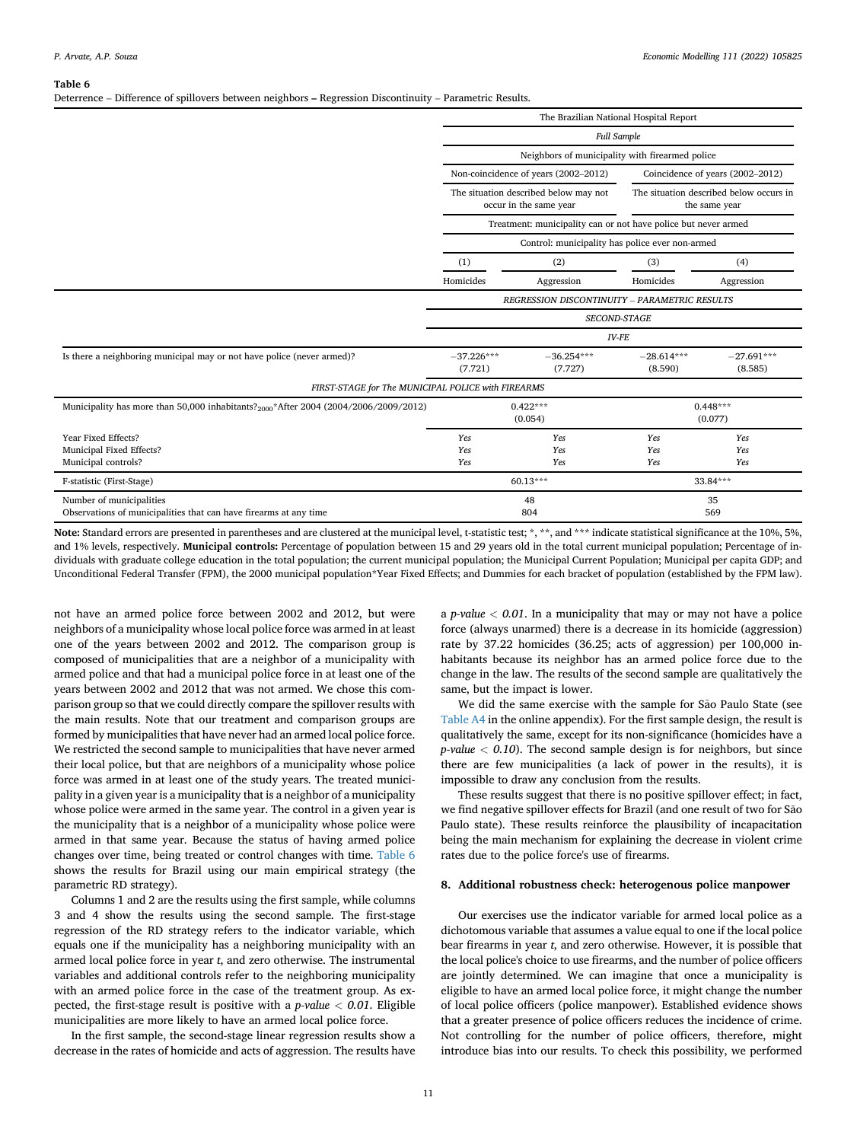<span id="page-10-1"></span>Deterrence – Difference of spillovers between neighbors – Regression Discontinuity – Parametric Results.

|                                                                                                  | The Brazilian National Hospital Report |                                                                 |                         |                                                          |  |
|--------------------------------------------------------------------------------------------------|----------------------------------------|-----------------------------------------------------------------|-------------------------|----------------------------------------------------------|--|
|                                                                                                  |                                        | <b>Full Sample</b>                                              |                         |                                                          |  |
|                                                                                                  |                                        | Neighbors of municipality with firearmed police                 |                         |                                                          |  |
|                                                                                                  |                                        | Non-coincidence of years (2002-2012)                            |                         | Coincidence of years (2002-2012)                         |  |
|                                                                                                  |                                        | The situation described below may not<br>occur in the same year |                         | The situation described below occurs in<br>the same year |  |
|                                                                                                  |                                        | Treatment: municipality can or not have police but never armed  |                         |                                                          |  |
|                                                                                                  |                                        | Control: municipality has police ever non-armed                 |                         |                                                          |  |
|                                                                                                  | (1)                                    | (2)                                                             | (3)                     | (4)                                                      |  |
|                                                                                                  | Homicides                              | Aggression                                                      | Homicides               | Aggression                                               |  |
|                                                                                                  |                                        | REGRESSION DISCONTINUITY - PARAMETRIC RESULTS                   |                         |                                                          |  |
|                                                                                                  |                                        | <b>SECOND-STAGE</b>                                             |                         |                                                          |  |
|                                                                                                  |                                        | <b>IV-FE</b>                                                    |                         |                                                          |  |
| Is there a neighboring municipal may or not have police (never armed)?                           | $-37.226***$<br>(7.721)                | $-36.254***$<br>(7.727)                                         | $-28.614***$<br>(8.590) | $-27.691***$<br>(8.585)                                  |  |
| FIRST-STAGE for The MUNICIPAL POLICE with FIREARMS                                               |                                        |                                                                 |                         |                                                          |  |
| Municipality has more than 50,000 inhabitants? <sub>2000</sub> *After 2004 (2004/2006/2009/2012) |                                        | $0.422***$<br>(0.054)                                           |                         | $0.448***$<br>(0.077)                                    |  |
| Year Fixed Effects?                                                                              | Yes                                    | Yes                                                             | Yes                     | Yes                                                      |  |
| Municipal Fixed Effects?                                                                         | Yes                                    | Yes                                                             | Yes                     | Yes                                                      |  |
| Municipal controls?                                                                              | Yes                                    | Yes                                                             | Yes                     | Yes                                                      |  |
| F-statistic (First-Stage)                                                                        |                                        | 60.13***                                                        |                         | 33.84***                                                 |  |
| Number of municipalities                                                                         |                                        | 48                                                              |                         | 35                                                       |  |
| Observations of municipalities that can have firearms at any time                                |                                        | 804                                                             |                         | 569                                                      |  |

Note: Standard errors are presented in parentheses and are clustered at the municipal level, t-statistic test; \*, \*\*, and \*\*\* indicate statistical significance at the 10%, 5%, and 1% levels, respectively. Municipal controls: Percentage of population between 15 and 29 years old in the total current municipal population; Percentage of individuals with graduate college education in the total population; the current municipal population; the Municipal Current Population; Municipal per capita GDP; and Unconditional Federal Transfer (FPM), the 2000 municipal population\*Year Fixed Effects; and Dummies for each bracket of population (established by the FPM law).

not have an armed police force between 2002 and 2012, but were neighbors of a municipality whose local police force was armed in at least one of the years between 2002 and 2012. The comparison group is composed of municipalities that are a neighbor of a municipality with armed police and that had a municipal police force in at least one of the years between 2002 and 2012 that was not armed. We chose this comparison group so that we could directly compare the spillover results with the main results. Note that our treatment and comparison groups are formed by municipalities that have never had an armed local police force. We restricted the second sample to municipalities that have never armed their local police, but that are neighbors of a municipality whose police force was armed in at least one of the study years. The treated municipality in a given year is a municipality that is a neighbor of a municipality whose police were armed in the same year. The control in a given year is the municipality that is a neighbor of a municipality whose police were armed in that same year. Because the status of having armed police changes over time, being treated or control changes with time. [Table 6](#page-10-1) shows the results for Brazil using our main empirical strategy (the parametric RD strategy).

Columns 1 and 2 are the results using the first sample, while columns 3 and 4 show the results using the second sample. The first-stage regression of the RD strategy refers to the indicator variable, which equals one if the municipality has a neighboring municipality with an armed local police force in year t, and zero otherwise. The instrumental variables and additional controls refer to the neighboring municipality with an armed police force in the case of the treatment group. As expected, the first-stage result is positive with a  $p$ -value  $< 0.01$ . Eligible municipalities are more likely to have an armed local police force.

In the first sample, the second-stage linear regression results show a decrease in the rates of homicide and acts of aggression. The results have

a *p-value*  $< 0.01$ . In a municipality that may or may not have a police force (always unarmed) there is a decrease in its homicide (aggression) rate by 37.22 homicides (36.25; acts of aggression) per 100,000 inhabitants because its neighbor has an armed police force due to the change in the law. The results of the second sample are qualitatively the same, but the impact is lower.

We did the same exercise with the sample for São Paulo State (see Table A4 in the online appendix). For the first sample design, the result is qualitatively the same, except for its non-significance (homicides have a  $p$ -value  $<$  0.10). The second sample design is for neighbors, but since there are few municipalities (a lack of power in the results), it is impossible to draw any conclusion from the results.

These results suggest that there is no positive spillover effect; in fact, we find negative spillover effects for Brazil (and one result of two for São Paulo state). These results reinforce the plausibility of incapacitation being the main mechanism for explaining the decrease in violent crime rates due to the police force's use of firearms.

#### <span id="page-10-0"></span>8. Additional robustness check: heterogenous police manpower

Our exercises use the indicator variable for armed local police as a dichotomous variable that assumes a value equal to one if the local police bear firearms in year t, and zero otherwise. However, it is possible that the local police's choice to use firearms, and the number of police officers are jointly determined. We can imagine that once a municipality is eligible to have an armed local police force, it might change the number of local police officers (police manpower). Established evidence shows that a greater presence of police officers reduces the incidence of crime. Not controlling for the number of police officers, therefore, might introduce bias into our results. To check this possibility, we performed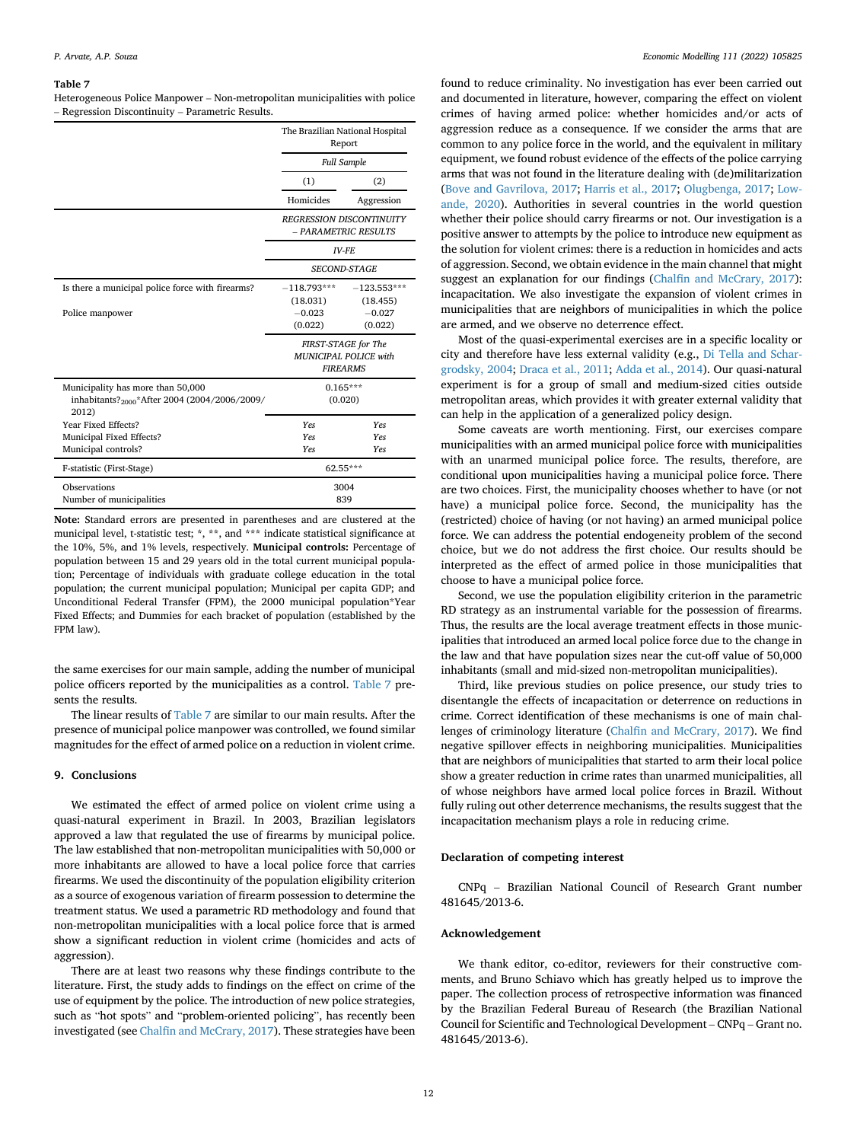<span id="page-11-1"></span>Heterogeneous Police Manpower – Non-metropolitan municipalities with police – Regression Discontinuity – Parametric Results.

|                                                                                                         | The Brazilian National Hospital<br>Report                       |                                                         |  |  |
|---------------------------------------------------------------------------------------------------------|-----------------------------------------------------------------|---------------------------------------------------------|--|--|
|                                                                                                         |                                                                 | <b>Full Sample</b>                                      |  |  |
|                                                                                                         | (1)                                                             | (2)                                                     |  |  |
|                                                                                                         | Homicides                                                       | Aggression                                              |  |  |
|                                                                                                         |                                                                 | <b>REGRESSION DISCONTINUITY</b><br>- PARAMETRIC RESULTS |  |  |
|                                                                                                         |                                                                 | <b>IV-FF</b>                                            |  |  |
|                                                                                                         |                                                                 | <b>SECOND-STAGE</b>                                     |  |  |
| Is there a municipal police force with firearms?                                                        | $-118.793***$<br>(18.031)                                       | $-123.553***$<br>(18.455)                               |  |  |
| Police manpower                                                                                         | $-0.023$<br>(0.022)                                             | $-0.027$<br>(0.022)                                     |  |  |
|                                                                                                         | FIRST-STAGE for The<br>MUNICIPAL POLICE with<br><b>FIREARMS</b> |                                                         |  |  |
| Municipality has more than 50,000<br>inhabitants? <sub>2000</sub> *After 2004 (2004/2006/2009/<br>2012) | $0.165***$<br>(0.020)                                           |                                                         |  |  |
| Year Fixed Effects?                                                                                     | <b>Yes</b>                                                      | <b>Yes</b>                                              |  |  |
| Municipal Fixed Effects?                                                                                | <b>Yes</b>                                                      | <b>Yes</b>                                              |  |  |
| Municipal controls?                                                                                     | <b>Yes</b>                                                      | <b>Yes</b>                                              |  |  |
| F-statistic (First-Stage)                                                                               |                                                                 | 62.55***                                                |  |  |
| Observations                                                                                            |                                                                 | 3004                                                    |  |  |
| Number of municipalities                                                                                |                                                                 | 839                                                     |  |  |

Note: Standard errors are presented in parentheses and are clustered at the municipal level, t-statistic test; \*, \*\*, and \*\*\* indicate statistical significance at the 10%, 5%, and 1% levels, respectively. Municipal controls: Percentage of population between 15 and 29 years old in the total current municipal population; Percentage of individuals with graduate college education in the total population; the current municipal population; Municipal per capita GDP; and Unconditional Federal Transfer (FPM), the 2000 municipal population\*Year Fixed Effects; and Dummies for each bracket of population (established by the FPM law).

the same exercises for our main sample, adding the number of municipal police officers reported by the municipalities as a control. [Table 7](#page-11-1) presents the results.

The linear results of [Table 7](#page-11-1) are similar to our main results. After the presence of municipal police manpower was controlled, we found similar magnitudes for the effect of armed police on a reduction in violent crime.

## <span id="page-11-0"></span>9. Conclusions

We estimated the effect of armed police on violent crime using a quasi-natural experiment in Brazil. In 2003, Brazilian legislators approved a law that regulated the use of firearms by municipal police. The law established that non-metropolitan municipalities with 50,000 or more inhabitants are allowed to have a local police force that carries firearms. We used the discontinuity of the population eligibility criterion as a source of exogenous variation of firearm possession to determine the treatment status. We used a parametric RD methodology and found that non-metropolitan municipalities with a local police force that is armed show a significant reduction in violent crime (homicides and acts of aggression).

There are at least two reasons why these findings contribute to the literature. First, the study adds to findings on the effect on crime of the use of equipment by the police. The introduction of new police strategies, such as "hot spots" and "problem-oriented policing", has recently been investigated (see Chalfi[n and McCrary, 2017](#page-12-21)). These strategies have been

found to reduce criminality. No investigation has ever been carried out and documented in literature, however, comparing the effect on violent crimes of having armed police: whether homicides and/or acts of aggression reduce as a consequence. If we consider the arms that are common to any police force in the world, and the equivalent in military equipment, we found robust evidence of the effects of the police carrying arms that was not found in the literature dealing with (de)militarization ([Bove and Gavrilova, 2017](#page-12-9); [Harris et al., 2017;](#page-12-10) [Olugbenga, 2017;](#page-12-11) [Low](#page-12-12)[ande, 2020\)](#page-12-12). Authorities in several countries in the world question whether their police should carry firearms or not. Our investigation is a positive answer to attempts by the police to introduce new equipment as the solution for violent crimes: there is a reduction in homicides and acts of aggression. Second, we obtain evidence in the main channel that might suggest an explanation for our findings (Chalfi[n and McCrary, 2017\)](#page-12-21): incapacitation. We also investigate the expansion of violent crimes in municipalities that are neighbors of municipalities in which the police are armed, and we observe no deterrence effect.

Most of the quasi-experimental exercises are in a specific locality or city and therefore have less external validity (e.g., [Di Tella and Schar](#page-12-17)[grodsky, 2004;](#page-12-17) [Draca et al., 2011;](#page-12-18) [Adda et al., 2014\)](#page-12-26). Our quasi-natural experiment is for a group of small and medium-sized cities outside metropolitan areas, which provides it with greater external validity that can help in the application of a generalized policy design.

Some caveats are worth mentioning. First, our exercises compare municipalities with an armed municipal police force with municipalities with an unarmed municipal police force. The results, therefore, are conditional upon municipalities having a municipal police force. There are two choices. First, the municipality chooses whether to have (or not have) a municipal police force. Second, the municipality has the (restricted) choice of having (or not having) an armed municipal police force. We can address the potential endogeneity problem of the second choice, but we do not address the first choice. Our results should be interpreted as the effect of armed police in those municipalities that choose to have a municipal police force.

Second, we use the population eligibility criterion in the parametric RD strategy as an instrumental variable for the possession of firearms. Thus, the results are the local average treatment effects in those municipalities that introduced an armed local police force due to the change in the law and that have population sizes near the cut-off value of 50,000 inhabitants (small and mid-sized non-metropolitan municipalities).

Third, like previous studies on police presence, our study tries to disentangle the effects of incapacitation or deterrence on reductions in crime. Correct identification of these mechanisms is one of main challenges of criminology literature (Chalfi[n and McCrary, 2017](#page-12-21)). We find negative spillover effects in neighboring municipalities. Municipalities that are neighbors of municipalities that started to arm their local police show a greater reduction in crime rates than unarmed municipalities, all of whose neighbors have armed local police forces in Brazil. Without fully ruling out other deterrence mechanisms, the results suggest that the incapacitation mechanism plays a role in reducing crime.

## Declaration of competing interest

CNPq – Brazilian National Council of Research Grant number 481645/2013-6.

#### Acknowledgement

We thank editor, co-editor, reviewers for their constructive comments, and Bruno Schiavo which has greatly helped us to improve the paper. The collection process of retrospective information was financed by the Brazilian Federal Bureau of Research (the Brazilian National Council for Scientific and Technological Development – CNPq – Grant no. 481645/2013-6).